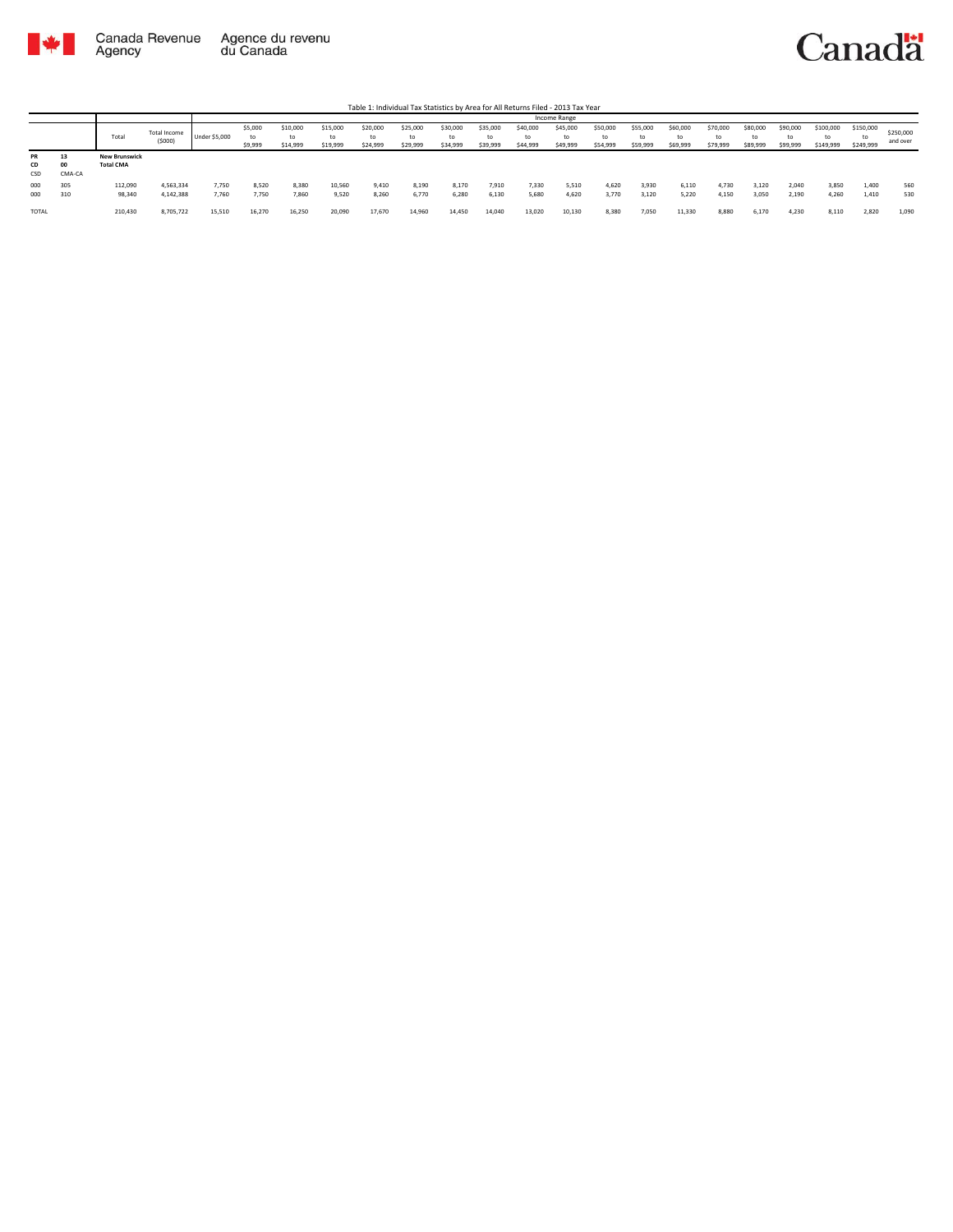

Table 1: Individual Tax Statistics by Area for All Returns Filed - 2013 Tax Year

|                        |                    |                                          |                        |                |                          |                            |                      |                            |                            |                            |                            |                            | Income Range               |                            |                      |                            |                            |                            |                            |                              |                              |                       |
|------------------------|--------------------|------------------------------------------|------------------------|----------------|--------------------------|----------------------------|----------------------|----------------------------|----------------------------|----------------------------|----------------------------|----------------------------|----------------------------|----------------------------|----------------------|----------------------------|----------------------------|----------------------------|----------------------------|------------------------------|------------------------------|-----------------------|
|                        |                    | Total                                    | Total Income<br>(5000) | Under \$5,000  | \$5,000<br>to<br>\$9,999 | \$10,000<br>to<br>\$14,999 | \$15,000<br>\$19,999 | \$20,000<br>to<br>\$24,999 | \$25,000<br>to<br>\$29,999 | \$30,000<br>to<br>\$34,999 | \$35,000<br>to<br>\$39,999 | \$40,000<br>to<br>\$44,999 | \$45,000<br>to<br>\$49,999 | \$50,000<br>to<br>\$54,999 | \$55,000<br>\$59,999 | \$60,000<br>to<br>\$69,999 | \$70,000<br>to<br>\$79,999 | \$80,000<br>to<br>\$89,999 | \$90,000<br>to<br>\$99,999 | \$100,000<br>to<br>\$149,999 | \$150,000<br>to<br>\$249,999 | \$250,000<br>and over |
| <b>PR</b><br>CD<br>CSD | 15<br>00<br>CMA-CA | <b>New Brunswick</b><br><b>Total CMA</b> |                        |                |                          |                            |                      |                            |                            |                            |                            |                            |                            |                            |                      |                            |                            |                            |                            |                              |                              |                       |
| 000<br>000             | 305<br>310         | 112,090<br>98,340                        | 4,563,334<br>4,142,388 | 7,750<br>7,760 | 8,520<br>7.750           | 8,380<br>7,860             | 10,560<br>9,520      | 9,410<br>8.260             | 8,190<br>6,770             | 8,170<br>6,280             | 7,910<br>6.130             | 7,330<br>5,680             | 5,510<br>4.620             | 4,620<br>3.770             | 3,930<br>3,120       | 6,110<br>5.220             | 4,730<br>4,150             | 3,120<br>3,050             | 2,040<br>2,190             | 3,850<br>4,260               | 1,400<br>1.410               | 560<br>530            |
| <b>TOTAL</b>           |                    | 210,430                                  | 8.705.722              | 15.510         | 16.270                   | 16.250                     | 20,090               | 17.670                     | 14,960                     | 14,450                     | 14.040                     | 13,020                     | 10.130                     | 8.380                      | 7,050                | 11.330                     | 8,880                      | 6.170                      | 4.230                      | 8.110                        | 2.820                        | 1.090                 |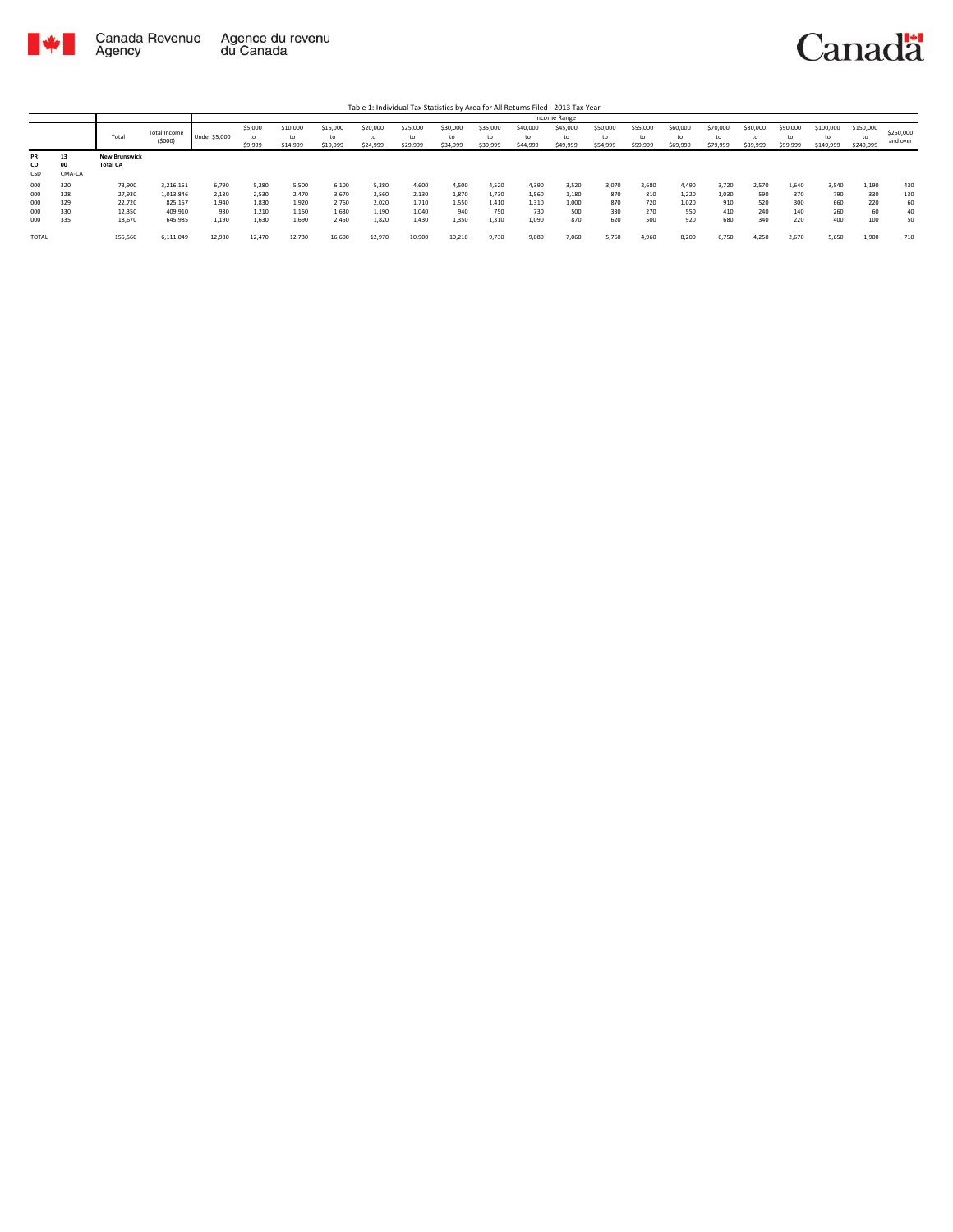

Table 1: Individual Tax Statistics by Area for All Returns Filed - 2013 Tax Year

|                 |              |                                         |                               |                      |                          |                            |                            |                            |                            |                            |                            |                            | <b>Income Range</b>        |                            |                            |                            |                            |                      |                            |                        |                              |                       |
|-----------------|--------------|-----------------------------------------|-------------------------------|----------------------|--------------------------|----------------------------|----------------------------|----------------------------|----------------------------|----------------------------|----------------------------|----------------------------|----------------------------|----------------------------|----------------------------|----------------------------|----------------------------|----------------------|----------------------------|------------------------|------------------------------|-----------------------|
|                 |              | Total                                   | <b>Total Income</b><br>(5000) | <b>Under \$5,000</b> | \$5,000<br>to<br>\$9,999 | \$10,000<br>to<br>\$14,999 | \$15,000<br>to<br>\$19,999 | \$20,000<br>to<br>\$24,999 | \$25,000<br>to<br>\$29,999 | \$30,000<br>tc<br>\$34,999 | \$35,000<br>to<br>\$39,999 | \$40,000<br>to<br>\$44,999 | \$45,000<br>to<br>\$49,999 | \$50,000<br>to<br>\$54,999 | \$55,000<br>ta<br>\$59,999 | \$60,000<br>to<br>\$69,999 | \$70,000<br>to<br>\$79,999 | \$80,000<br>\$89,999 | \$90,000<br>to<br>\$99,999 | \$100,000<br>\$149,999 | \$150,000<br>to<br>\$249,999 | \$250,000<br>and over |
| PR<br>CD<br>CSD | 13<br>CMA-CA | <b>New Brunswick</b><br><b>Total CA</b> |                               |                      |                          |                            |                            |                            |                            |                            |                            |                            |                            |                            |                            |                            |                            |                      |                            |                        |                              |                       |
| 000<br>000      | 320<br>328   | 73,900<br>27,930                        | 3,216,151<br>1,013,846        | 6,790<br>2,130       | 5.280<br>2,530           | 5,500<br>2.470             | 6,100<br>3,670             | 5,380<br>2,560             | 4.600<br>2,130             | 4,500<br>1,870             | 4.520<br>1.730             | 4.390<br>1,560             | 3,520<br>1,180             | 3.070<br>870               | 2,680<br>810               | 4.490<br>1,220             | 3,720<br>1,030             | 2,570<br>590         | 1,640<br>370               | 3,540<br>790           | 1.190<br>330                 | 430<br>130            |
| 000             | 329          | 22,720                                  | 825,157                       | 1,940                | 1.830                    | 1.920                      | 2,760                      | 2,020                      | 1.710                      | 1,550                      | 1.410                      | 1.310                      | 1,000                      | 870                        | 720                        | 1.020                      | 910                        | 520                  | 300                        | 660                    | 220                          | 60                    |
| 000             | 330          | 12,350                                  | 409,910                       | 930                  | 1,210                    | 1,150                      | 1,630                      | 1,190                      | 1,040                      | 940                        | 750                        | 730                        | 500                        | 330                        | 270                        | 550                        | 410                        | 240                  | 140                        | 260                    | 60                           | 40                    |
| 000             | 335          | 18,670                                  | 645,985                       | 1,190                | 1.630                    | 1.690                      | 2,450                      | 1.820                      | 1.430                      | 1,350                      | 1,310                      | 1,090                      | 870                        | 620                        | 500                        | 920                        | 680                        | 340                  | 220                        | 400                    | 100                          | 50                    |
| <b>TOTAL</b>    |              | 155,560                                 | 6,111,049                     | 12,980               | 12,470                   | 12,730                     | 16,600                     | 12,970                     | 10,900                     | 10,210                     | 9,730                      | 9,080                      | 7,060                      | 5,760                      | 4,960                      | 8,200                      | 6,750                      | 4,250                | 2,670                      | 5,650                  | 1,900                        | 710                   |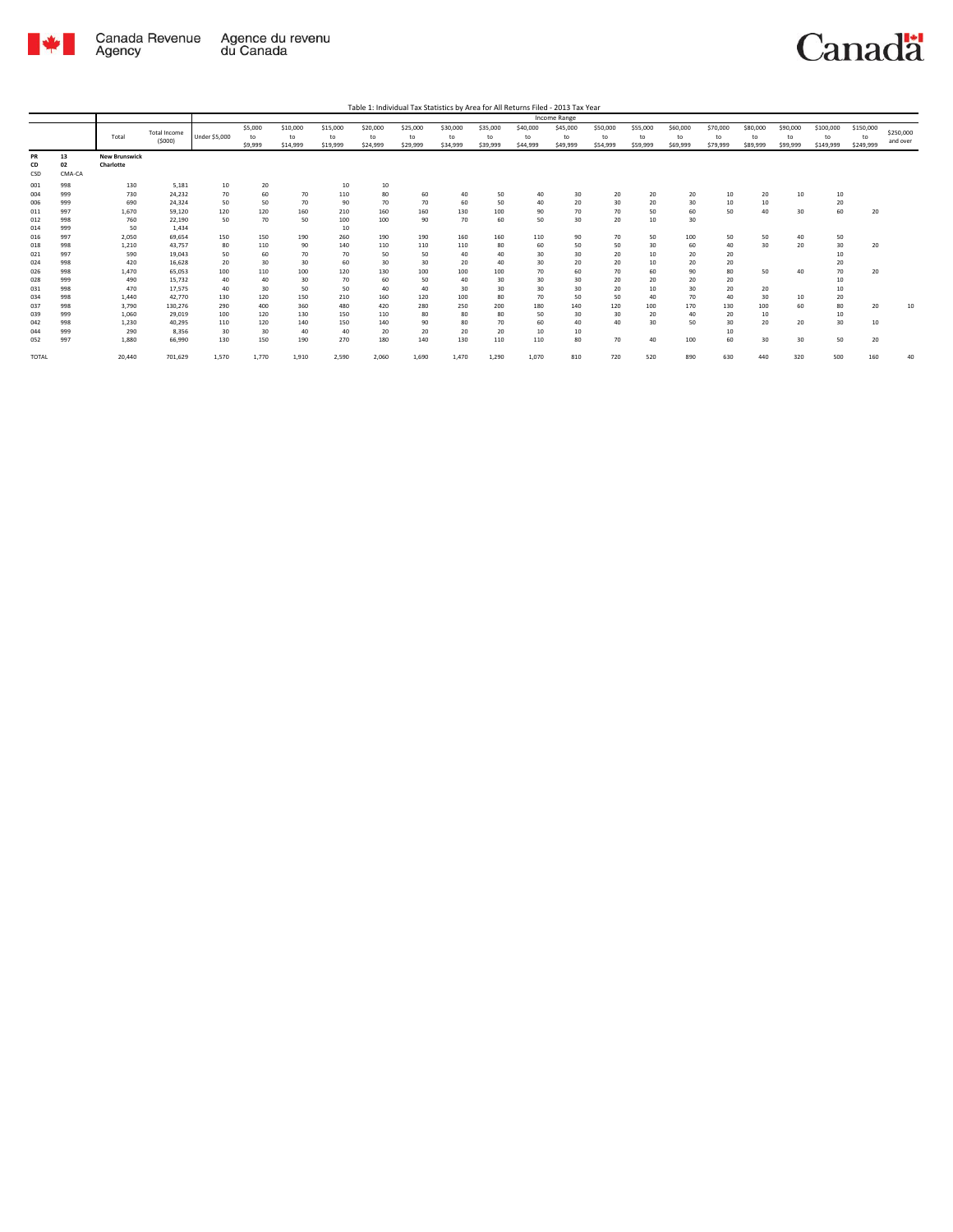

|              |        |                      |                     |               |         |          |          |          |          |          |          |          | Income Range |          |          |          |          |          |          |           |           |           |
|--------------|--------|----------------------|---------------------|---------------|---------|----------|----------|----------|----------|----------|----------|----------|--------------|----------|----------|----------|----------|----------|----------|-----------|-----------|-----------|
|              |        |                      |                     |               | \$5,000 | \$10,000 | \$15,000 | \$20,000 | \$25,000 | \$30,000 | \$35,000 | \$40,000 | \$45,000     | \$50,000 | \$55,000 | \$60,000 | \$70,000 | \$80,000 | \$90,000 | \$100,000 | \$150,000 |           |
|              |        | Total                | <b>Total Income</b> | Under \$5,000 | to      | to       | to       | to       | to       | to       | to       | to       | to           | to       | to       | to       | to       | to       | to       | to        | to        | \$250,000 |
|              |        |                      | (5000)              |               | \$9,999 | \$14,999 | \$19,999 | \$24,999 | \$29,999 | \$34,999 | \$39,999 | \$44,999 | \$49,999     | \$54,999 | \$59,999 | \$69,999 | \$79,999 | \$89,999 | \$99,999 | \$149,999 | \$249,999 | and over  |
| PR           | 13     | <b>New Brunswick</b> |                     |               |         |          |          |          |          |          |          |          |              |          |          |          |          |          |          |           |           |           |
| CD           | 02     | Charlotte            |                     |               |         |          |          |          |          |          |          |          |              |          |          |          |          |          |          |           |           |           |
| CSD          | CMA-CA |                      |                     |               |         |          |          |          |          |          |          |          |              |          |          |          |          |          |          |           |           |           |
| 001          | 998    | 130                  | 5.181               | 10            | 20      |          | 10       | 10       |          |          |          |          |              |          |          |          |          |          |          |           |           |           |
| 004          | 999    | 730                  | 24,232              | 70            | 60      | 70       | 110      | 80       | 60       | 40       | 50       | 40       | 30           | 20       | 20       | 20       | 10       | 20       | 10       | 10        |           |           |
| 006          | 999    | 690                  | 24,324              | 50            | 50      | 70       | 90       | 70       | 70       | 60       | 50       | 40       | 20           | 30       | 20       | 30       | 10       | 10       |          | 20        |           |           |
| 011          | 997    | 1,670                | 59.120              | 120           | 120     | 160      | 210      | 160      | 160      | 130      | 100      | 90       | 70           | 70       | 50       | 60       | 50       | 40       | 30       | 60        | 20        |           |
| 012          | 998    | 760                  | 22,190              | 50            | 70      | 50       | 100      | 100      | 90       | 70       | 60       | 50       | 30           | 20       | $10\,$   | 30       |          |          |          |           |           |           |
| 014          | 999    | 50                   | 1,434               |               |         |          | 10       |          |          |          |          |          |              |          |          |          |          |          |          |           |           |           |
| 016          | 997    | 2,050                | 69.654              | 150           | 150     | 190      | 260      | 190      | 190      | 160      | 160      | 110      | 90           | 70       | 50       | 100      | 50       | 50       | 40       | 50        |           |           |
| 018          | 998    | 1,210                | 43.757              | 80            | 110     | 90       | 140      | 110      | 110      | 110      | 80       | 60       | 50           | 50       | 30       | 60       | 40       | 30       | 20       | 30        | 20        |           |
| 021          | 997    | 590                  | 19,043              | 50            | 60      | 70       | 70       | 50       | 50       | 40       | 40       | 30       | 30           | 20       | 10       | 20       | 20       |          |          | 10        |           |           |
| 024          | 998    | 420                  | 16.628              | 20            | 30      | 30       | 60       | 30       | 30       | 20       | 40       | 30       | 20           | 20       | 10       | 20       | 20       |          |          | 20        |           |           |
| 026          | 998    | 1.470                | 65,053              | 100           | 110     | 100      | 120      | 130      | 100      | 100      | 100      | 70       | 60           | 70       | 60       | 90       | 80       | 50       | 40       | 70        | 20        |           |
| 028          | 999    | 490                  | 15,732              | 40            | 40      | 30       | 70       | 60       | 50       | 40       | 30       | 30       | 30           | 20       | 20       | 20       | 20       |          |          | 10        |           |           |
| 031          | 998    | 470                  | 17.575              | 40            | 30      | 50       | 50       | 40       | 40       | 30       | 30       | 30       | 30           | 20       | 10       | 30       | 20       | 20       |          | 10        |           |           |
| 034          | 998    | 1,440                | 42,770              | 130           | 120     | 150      | 210      | 160      | 120      | 100      | 80       | 70       | 50           | 50       | 40       | 70       | 40       | 30       | 10       | 20        |           |           |
| 037          | 998    | 3.790                | 130.276             | 290           | 400     | 360      | 480      | 420      | 280      | 250      | 200      | 180      | 140          | 120      | 100      | 170      | 130      | 100      | 60       | 80        | 20        | 10        |
| 039          | 999    | 1.060                | 29.019              | 100           | 120     | 130      | 150      | 110      | 80       | 80       | 80       | 50       | 30           | 30       | 20       | 40       | 20       | 10       |          | 10        |           |           |
| 042          | 998    | 1,230                | 40.295              | 110           | 120     | 140      | 150      | 140      | 90       | 80       | 70       | 60       | 40           | 40       | 30       | 50       | 30       | 20       | 20       | 30        | 10        |           |
| 044          | 999    | 290                  | 8.356               | 30            | 30      | 40       | 40       | 20       | 20       | 20       | 20       | 10       | 10           |          |          |          | 10       |          |          |           |           |           |
| 052          | 997    | 1,880                | 66,990              | 130           | 150     | 190      | 270      | 180      | 140      | 130      | 110      | 110      | 80           | 70       | 40       | 100      | 60       | 30       | 30       | 50        | 20        |           |
|              |        |                      |                     |               |         |          |          |          |          |          |          |          |              |          |          |          |          |          |          |           |           |           |
| <b>TOTAL</b> |        | 20,440               | 701,629             | 1,570         | 1.770   | 1,910    | 2,590    | 2,060    | 1,690    | 1,470    | 1,290    | 1,070    | 810          | 720      | 520      | 890      | 630      | 440      | 320      | 500       | 160       | 40        |
|              |        |                      |                     |               |         |          |          |          |          |          |          |          |              |          |          |          |          |          |          |           |           |           |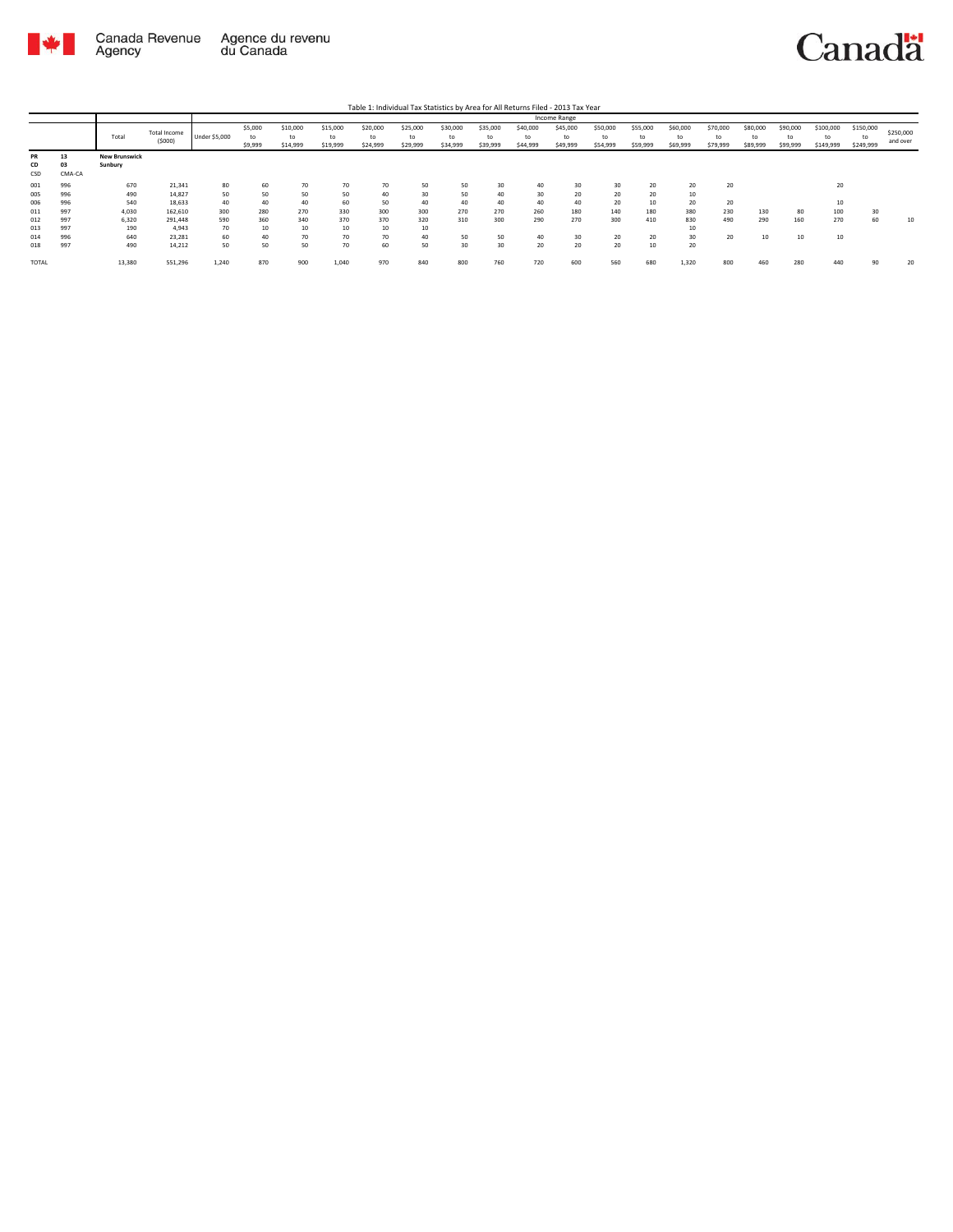

Table 1: Individual Tax Statistics by Area for All Returns Filed - 2013 Tax Year

|              |        |                      |              |                      |         |          |          |          |          |          |          |          | Income Range |          |          |          |          |          |          |           |           |           |
|--------------|--------|----------------------|--------------|----------------------|---------|----------|----------|----------|----------|----------|----------|----------|--------------|----------|----------|----------|----------|----------|----------|-----------|-----------|-----------|
|              |        |                      | Total Income |                      | \$5,000 | \$10,000 | \$15,000 | \$20,000 | \$25,000 | \$30,000 | \$35,000 | \$40,000 | \$45,000     | \$50,000 | \$55,000 | \$60,000 | \$70,000 | \$80,000 | \$90,000 | \$100,000 | \$150,000 | \$250,000 |
|              |        | Total                | (5000)       | <b>Under \$5,000</b> | to      | to       | to       | to       | to       | to       | to       | to       | to           | to       | to       | to       | to       | to       | to       |           | to        | and over  |
|              |        |                      |              |                      | \$9,999 | \$14,999 | \$19,999 | \$24,999 | \$29,999 | \$34,999 | \$39,999 | \$44,999 | \$49,999     | \$54,999 | \$59,999 | \$69,999 | \$79,999 | \$89,999 | \$99,999 | \$149,999 | \$249,999 |           |
| PR           | 13     | <b>New Brunswick</b> |              |                      |         |          |          |          |          |          |          |          |              |          |          |          |          |          |          |           |           |           |
| <b>CD</b>    | 03     | Sunbury              |              |                      |         |          |          |          |          |          |          |          |              |          |          |          |          |          |          |           |           |           |
| CSD          | CMA-CA |                      |              |                      |         |          |          |          |          |          |          |          |              |          |          |          |          |          |          |           |           |           |
| 001          | 996    | 670                  | 21,341       | 80                   | 60      | 70       | 70       | 70       | 50       | 50       | 30       |          | 30           | 30       | 20       | 20       | 20       |          |          | 20        |           |           |
| 005          | 996    | 490                  | 14,827       | 50                   | 50      | 50       | 50       | 40       | 30       | 50       | 40       | 30       | 20           | 20       | 20       | 10       |          |          |          |           |           |           |
| 006          | 996    | 540                  | 18,633       | 40                   | 40      | 40       | 60       | 50       | 40       | 40       | 40       |          | 40           | 20       | 10       | 20       | 20       |          |          | 10        |           |           |
| 011          | 997    | 4,030                | 162,610      | 300                  | 280     | 270      | 330      | 300      | 300      | 270      | 270      | 260      | 180          | 140      | 180      | 380      | 230      | 130      | 80       | 100       | 30        |           |
| 012          | 997    | 6,320                | 291,448      | 590                  | 360     | 340      | 370      | 370      | 320      | 310      | 300      | 290      | 270          | 300      | 410      | 830      | 490      | 290      | 160      | 270       | 60        | 10        |
| 013          | 997    | 190                  | 4.943        | 70                   | 10      | 10       | 10       | 10       | 10       |          |          |          |              |          |          | 10       |          |          |          |           |           |           |
| 014          | 996    | 640                  | 23,281       | 60                   | 40      | 70       | 70       | 70       | 40       | 50       | 50       |          | 30           | 20       | 20       | 30       | 20       | 10       | 10       | 10        |           |           |
| 018          | 997    | 490                  | 14,212       | 50                   | 50      | 50       | 70       | 60       | 50       | 30       | 30       | 20       | 20           | 20       | 10       | 20       |          |          |          |           |           |           |
| <b>TOTAL</b> |        | 13,380               | 551,296      | 1,240                | 870     | 900      | 1,040    | 970      | 840      | 800      | 760      | 720      | 600          | 560      | 680      | 1,320    | 800      | 460      | 280      | 440       | 90        | 20        |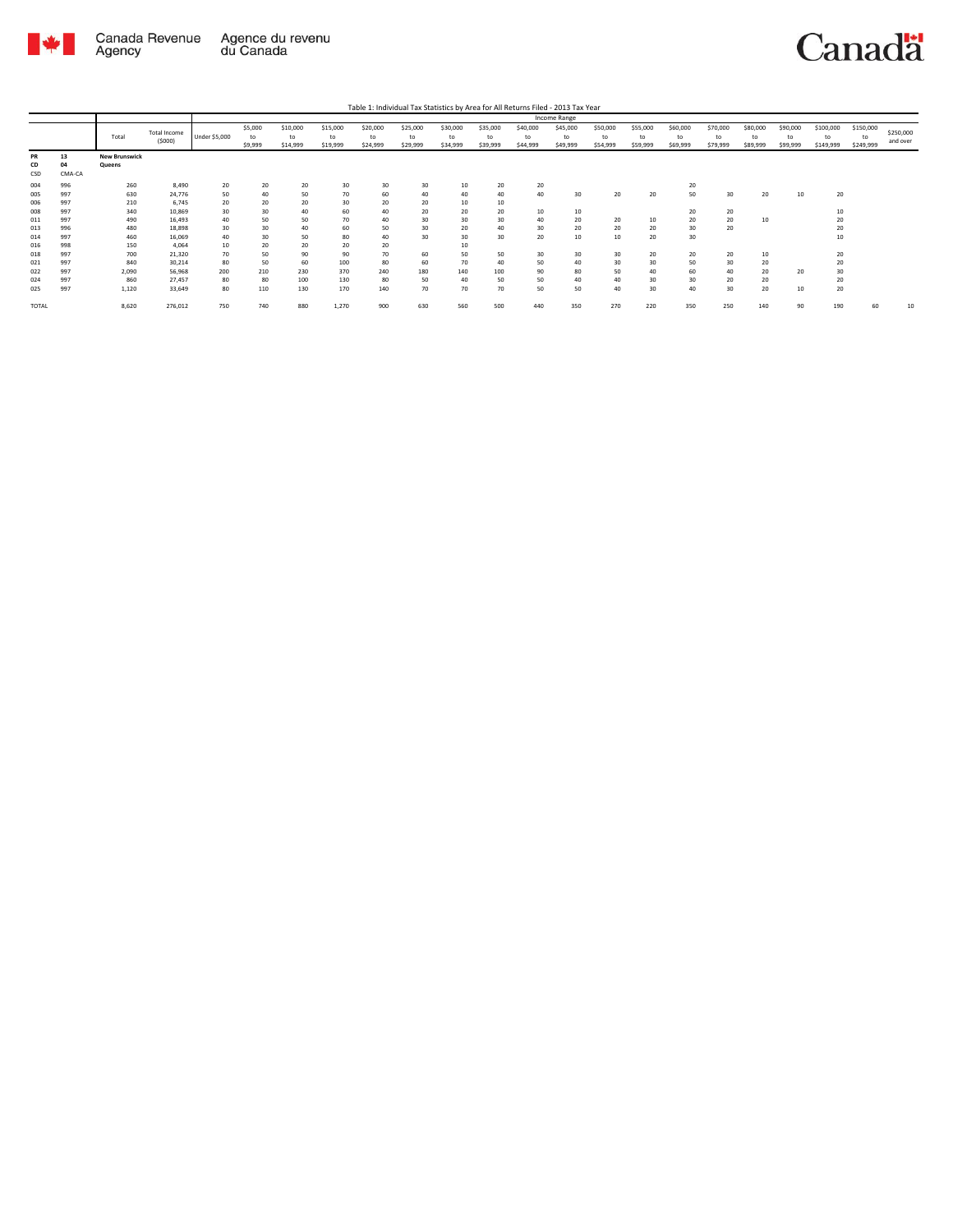

|              |        |                      |              |               |         |          |          |          |          |          |          |          | <b>Income Range</b> |          |          |          |          |          |          |           |           |           |
|--------------|--------|----------------------|--------------|---------------|---------|----------|----------|----------|----------|----------|----------|----------|---------------------|----------|----------|----------|----------|----------|----------|-----------|-----------|-----------|
|              |        |                      | Total Income |               | \$5,000 | \$10,000 | \$15,000 | \$20,000 | \$25,000 | \$30,000 | \$35,000 | \$40,000 | \$45,000            | \$50,000 | \$55,000 | \$60,000 | \$70,000 | \$80,000 | \$90,000 | \$100,000 | \$150,000 | \$250,000 |
|              |        | Total                |              | Under \$5,000 | to      | to       | to       | to       | to       | to       | to       | to       | to                  | to       | to       | to       | to       | to       | to       | to        | to        |           |
|              |        |                      | (5000)       |               | \$9,999 | \$14,999 | \$19,999 | \$24,999 | \$29,999 | \$34,999 | \$39,999 | \$44,999 | \$49,999            | \$54,999 | \$59,999 | \$69,999 | \$79,999 | \$89,999 | \$99,999 | \$149,999 | \$249,999 | and over  |
| PR           | 13     | <b>New Brunswick</b> |              |               |         |          |          |          |          |          |          |          |                     |          |          |          |          |          |          |           |           |           |
| CD           | 04     | Queens               |              |               |         |          |          |          |          |          |          |          |                     |          |          |          |          |          |          |           |           |           |
| CSD          | CMA-CA |                      |              |               |         |          |          |          |          |          |          |          |                     |          |          |          |          |          |          |           |           |           |
| 004          | 996    | 260                  | 8,490        | 20            | 20      | 20       | 30       | 30       | 30       | 10       | 20       | 20       |                     |          |          | 20       |          |          |          |           |           |           |
| 005          | 997    | 630                  | 24,776       | 50            | 40      | 50       | 70       | 60       | 40       | 40       | 40       | 40       | 30                  | 20       | 20       | 50       | 30       | 20       | 10       | 20        |           |           |
| 006          | 997    | 210                  | 6.745        | 20            | 20      | 20       | 30       | 20       | 20       | 10       | 10       |          |                     |          |          |          |          |          |          |           |           |           |
| 008          | 997    | 340                  | 10,869       | 30            | 30      | 40       | 60       | 40       | 20       | 20       | 20       | 10       | 10                  |          |          | 20       | 20       |          |          | 10        |           |           |
| 011          | 997    | 490                  | 16,493       | 40            | 50      | 50       | 70       | 40       | 30       | 30       | 30       | 40       | 20                  | 20       | 10       | 20       | 20       | 10       |          | 20        |           |           |
| 013          | 996    | 480                  | 18,898       | 30            | 30      | 40       | 60       | 50       | 30       | 20       | 40       | 30       | 20                  | 20       | 20       | 30       | 20       |          |          | 20        |           |           |
| 014          | 997    | 460                  | 16,069       | 40            | 30      | 50       | 80       | 40       | 30       | 30       | 30       | 20       | 10                  | 10       | 20       | 30       |          |          |          | 10        |           |           |
| 016          | 998    | 150                  | 4.064        | 10            | 20      | 20       | 20       | 20       |          | 10       |          |          |                     |          |          |          |          |          |          |           |           |           |
| 018          | 997    | 700                  | 21,320       | 70            | 50      | 90       | 90       | 70       | 60       | 50       | 50       | 30       | 30                  | 30       | 20       | 20       | 20       | 10       |          | 20        |           |           |
| 021          | 997    | 840                  | 30,214       | 80            | 50      | 60       | 100      | 80       | 60       | 70       | 40       | 50       | 40                  | 30       | 30       | 50       | 30       | 20       |          | 20        |           |           |
| 022          | 997    | 2,090                | 56,968       | 200           | 210     | 230      | 370      | 240      | 180      | 140      | 100      | 90       | 80                  | 50       | 40       | 60       | 40       | 20       | 20       | 30        |           |           |
| 024          | 997    | 860                  | 27,457       | 80            | 80      | 100      | 130      | 80       | 50       | 40       | 50       | 50       | 40                  | 40       | 30       | 30       | 20       | 20       |          | 20        |           |           |
| 025          | 997    | 1,120                | 33,649       | 80            | 110     | 130      | 170      | 140      | 70       | 70       | 70       | 50       | 50                  | 40       | 30       | 40       | 30       | 20       | 10       | 20        |           |           |
|              |        |                      |              |               |         |          |          |          |          |          |          |          |                     |          |          |          |          |          |          |           |           |           |
| <b>TOTAL</b> |        | 8,620                | 276,012      | 750           | 740     | 880      | 1,270    | 900      | 630      | 560      | 500      | 440      | 350                 | 270      | 220      | 350      | 250      | 140      | 90       | 190       | 60        | 10        |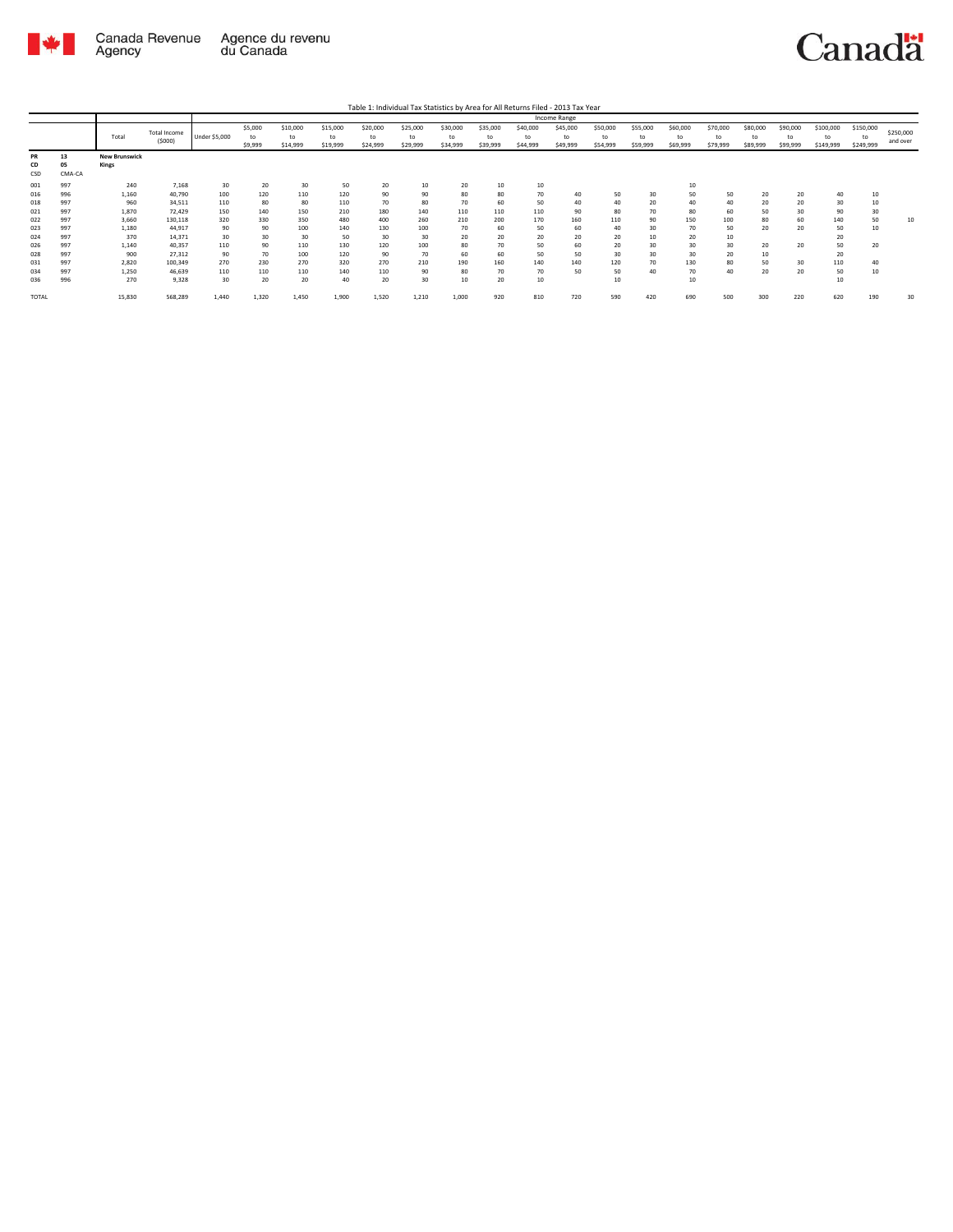

Table 1: Individual Tax Statistics by Area for All Returns Filed - 2013 Tax Year

|       |        |                      |              |               |         |          |          |          |          |          |          |          | Income Range |          |          |          |          |          |          |           |           |           |
|-------|--------|----------------------|--------------|---------------|---------|----------|----------|----------|----------|----------|----------|----------|--------------|----------|----------|----------|----------|----------|----------|-----------|-----------|-----------|
|       |        |                      | Total Income |               | \$5,000 | \$10,000 | \$15,000 | \$20,000 | \$25,000 | \$30,000 | \$35,000 | \$40,000 | \$45,000     | \$50,000 | \$55,000 | \$60,000 | \$70,000 | \$80,000 | \$90,000 | \$100,000 | \$150,000 | \$250,000 |
|       |        | Total                |              | Under \$5,000 | to      | to       | to       | to       | to       | to       | to       | to       | to           | to       | to       | to       | to       | to       | to       | to        | to        |           |
|       |        |                      | (5000)       |               | \$9,999 | \$14,999 | \$19,999 | \$24,999 | \$29,999 | \$34,999 | \$39,999 | \$44,999 | \$49,999     | \$54,999 | \$59,999 | \$69,999 | \$79,999 | \$89,999 | \$99,999 | \$149,999 | \$249,999 | and over  |
| PR    | 13     | <b>New Brunswick</b> |              |               |         |          |          |          |          |          |          |          |              |          |          |          |          |          |          |           |           |           |
| CD    | 05     | Kings                |              |               |         |          |          |          |          |          |          |          |              |          |          |          |          |          |          |           |           |           |
| CSD   | CMA-CA |                      |              |               |         |          |          |          |          |          |          |          |              |          |          |          |          |          |          |           |           |           |
| 001   | 997    | 240                  | 7,168        | 30            | 20      | 30       | 50       | 20       | 10       | 20       | 10       | 10       |              |          |          | 10       |          |          |          |           |           |           |
| 016   | 996    | 1,160                | 40,790       | 100           | 120     | 110      | 120      | 90       | 90       | 80       | 80       | 70       | 40           | 50       | 30       | 50       | 50       | 20       | 20       | 40        |           |           |
| 018   | 997    | 960                  | 34,511       | 110           | 80      | 80       | 110      | 70       | 80       | 70       | 60       | 50       | 40           | 40       | 20       | 40       | 40       | 20       | 20       | 30        | 10        |           |
| 021   | 997    | 1.870                | 72.429       | 150           | 140     | 150      | 210      | 180      | 140      | 110      | 110      | 110      | 90           | 80       | 70       | 80       | 60       | 50       | 30       | 90        | 30        |           |
|       | 997    |                      |              |               | 330     | 350      | 480      | 400      | 260      |          | 200      | 170      | 160          | 110      |          | 150      | 100      | 80       | 60       | 140       | 50        | 10        |
| 022   |        | 3,660                | 130,118      | 320           |         |          |          |          |          | 210      |          |          |              |          | 90       |          |          |          |          |           |           |           |
| 023   | 997    | 1,180                | 44,917       | 90            | 90      | 100      | 140      | 130      | 100      | 70       | 60       | 50       | 60           | 40       | 30       | 70       | 50       | 20       | 20       | 50        | 10        |           |
| 024   | 997    | 370                  | 14.371       | 30            | 30      | 30       | 50       | 30       | 30       | 20       | 20       | 20       | 20           | 20       | $10\,$   | 20       | 10       |          |          | 20        |           |           |
| 026   | 997    | 1.140                | 40,357       | 110           | 90      | 110      | 130      | 120      | 100      | 80       | 70       | 50       | 60           | 20       | 30       | 30       | 30       | 20       | 20       | 50        | 20        |           |
| 028   | 997    | 900                  | 27,312       | 90            | 70      | 100      | 120      | 90       | 70       | 60       | 60       | 50       | 50           | 30       | 30       | 30       | 20       | 10       |          | 20        |           |           |
| 031   | 997    | 2,820                | 100,349      | 270           | 230     | 270      | 320      | 270      | 210      | 190      | 160      | 140      | 140          | 120      | 70       | 130      | 80       | 50       | 30       | 110       | 40        |           |
| 034   | 997    | 1,250                | 46,639       | 110           | 110     | 110      | 140      | 110      | 90       | 80       | 70       | 70       | 50           | 50       | 40       | 70       | 40       | 20       | 20       | 50        | 10        |           |
| 036   | 996    | 270                  | 9,328        | 30            | 20      | 20       | 40       | 20       | 30       | 10       | 20       | 10       |              | 10       |          | 10       |          |          |          | 10        |           |           |
| TOTAL |        | 15,830               | 568,289      | 1,440         | 1,320   | 1,450    | 1,900    | 1,520    | 1,210    | 1,000    | 920      | 810      | 720          | 590      | 420      | 690      | 500      | 300      | 220      | 620       | 190       | 30        |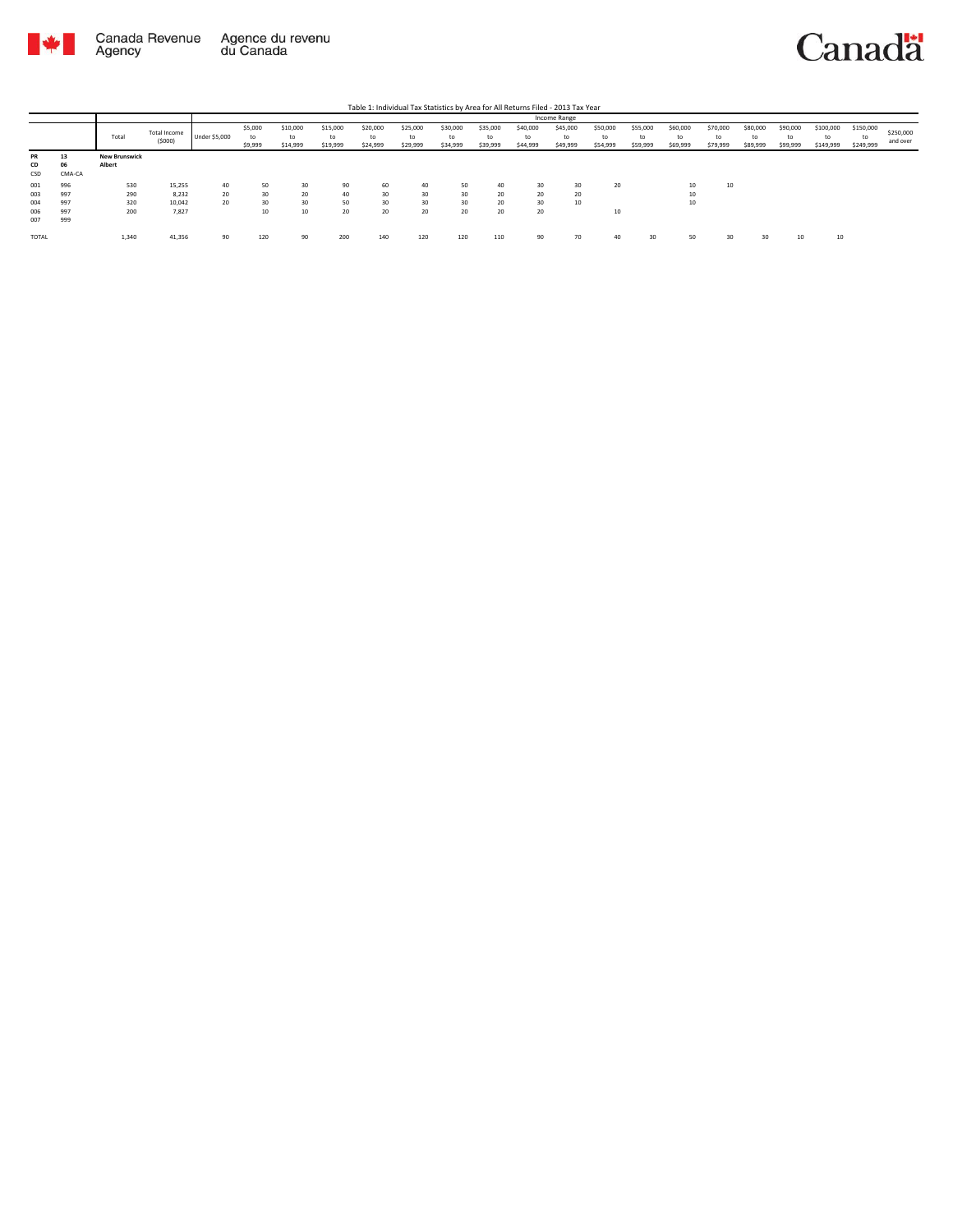

|              |        |                      |                        |               |               |                |          |                |                |                |                |                | Income Range |                |                |                |                |                |                |                 |                 |                       |
|--------------|--------|----------------------|------------------------|---------------|---------------|----------------|----------|----------------|----------------|----------------|----------------|----------------|--------------|----------------|----------------|----------------|----------------|----------------|----------------|-----------------|-----------------|-----------------------|
|              |        | Total                | Total Income<br>(5000) | Under \$5,000 | \$5,000<br>to | \$10,000<br>to | \$15,000 | \$20,000<br>to | \$25,000<br>to | \$30,000<br>to | \$35,000<br>to | \$40,000<br>to | \$45,000     | \$50,000<br>to | \$55,000<br>to | \$60,000<br>to | \$70,000<br>to | \$80,000<br>to | \$90,000<br>to | \$100,000<br>to | \$150,000<br>to | \$250,000<br>and over |
|              |        |                      |                        |               | \$9,999       | \$14,999       | \$19,999 | \$24,999       | \$29,999       | \$34,999       | \$39,999       | \$44,999       | \$49,999     | \$54,999       | \$59,999       | \$69,999       | \$79,999       | \$89,999       | \$99,999       | \$149,999       | \$249,999       |                       |
| PR           | 13     | <b>New Brunswick</b> |                        |               |               |                |          |                |                |                |                |                |              |                |                |                |                |                |                |                 |                 |                       |
| CD           | 06     | Albert               |                        |               |               |                |          |                |                |                |                |                |              |                |                |                |                |                |                |                 |                 |                       |
| CSD          | CMA-CA |                      |                        |               |               |                |          |                |                |                |                |                |              |                |                |                |                |                |                |                 |                 |                       |
| 001          | 996    | 530                  | 15,255                 | 40            | 50            | 30             | 90       | 60             | 40             | 50             | 40             | 30             | 30           | 20             |                | 10             | 10             |                |                |                 |                 |                       |
| 003          | 997    | 290                  | 8,232                  | 20            | 30            | 20             | 40       | 30             | 30             | 30             | 20             | 20             | 20           |                |                | 10             |                |                |                |                 |                 |                       |
| 004          | 997    | 320                  | 10,042                 | 20            | 30            | 30             | 50       | 30             | 30             | 30             | 20             | 30             | 10           |                |                | 10             |                |                |                |                 |                 |                       |
| 006          | 997    | 200                  | 7,827                  |               | 10            | 10             | 20       | 20             | 20             | 20             | 20             | 20             |              | 10             |                |                |                |                |                |                 |                 |                       |
| 007          | 999    |                      |                        |               |               |                |          |                |                |                |                |                |              |                |                |                |                |                |                |                 |                 |                       |
| <b>TOTAL</b> |        | 1,340                | 41,356                 | 90            | 120           | 90             | 200      | 140            | 120            | 120            | 110            | 90             | 70           | 40             | 30             | 50             | 30             | 30             | 10             | 10              |                 |                       |
|              |        |                      |                        |               |               |                |          |                |                |                |                |                |              |                |                |                |                |                |                |                 |                 |                       |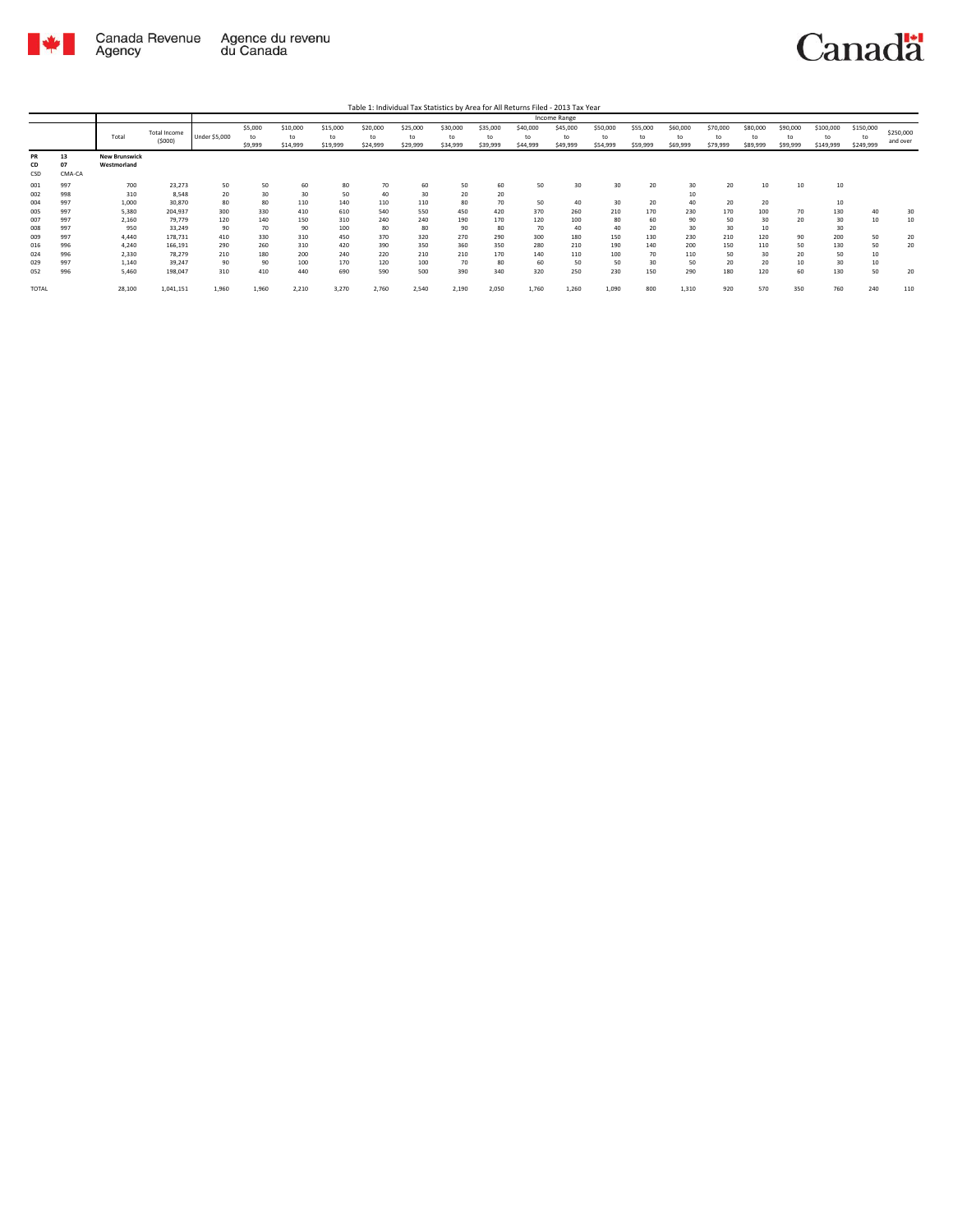

Table 1: Individual Tax Statistics by Area for All Returns Filed - 2013 Tax Year

|                 |                    |                                     |                        |               |                          |                            |                            |                            |                            |                            |                            |                            | Income Range               |                            |                            |                            |                            |                            |                            |                        |                              |                       |
|-----------------|--------------------|-------------------------------------|------------------------|---------------|--------------------------|----------------------------|----------------------------|----------------------------|----------------------------|----------------------------|----------------------------|----------------------------|----------------------------|----------------------------|----------------------------|----------------------------|----------------------------|----------------------------|----------------------------|------------------------|------------------------------|-----------------------|
|                 |                    | Total                               | Total Income<br>(5000) | Under \$5,000 | \$5,000<br>to<br>\$9,999 | \$10,000<br>to<br>\$14,999 | \$15,000<br>to<br>\$19,999 | \$20,000<br>to<br>\$24,999 | \$25,000<br>to<br>\$29,999 | \$30,000<br>to<br>\$34,999 | \$35,000<br>to<br>\$39,999 | \$40,000<br>to<br>\$44,999 | \$45,000<br>to<br>\$49,999 | \$50,000<br>to<br>\$54,999 | \$55,000<br>to<br>\$59,999 | \$60,000<br>to<br>\$69,999 | \$70,000<br>to<br>\$79,999 | \$80,000<br>to<br>\$89,999 | \$90,000<br>to<br>\$99,999 | \$100,000<br>\$149,999 | \$150,000<br>to<br>\$249,999 | \$250,000<br>and over |
| PR<br>CD<br>CSD | 13<br>07<br>CMA-CA | <b>New Brunswick</b><br>Westmorland |                        |               |                          |                            |                            |                            |                            |                            |                            |                            |                            |                            |                            |                            |                            |                            |                            |                        |                              |                       |
| 001             | 997                | 700                                 | 23,273                 | 50            | 50                       | 60                         | 80                         | 70                         | 60                         | 50                         | 60                         | 50                         | 30                         | 30                         | 20                         | 30                         | 20                         | 10                         | 10                         | 10                     |                              |                       |
| 002             | 998                | 310                                 | 8,548                  | 20            | 30                       | 30                         | 50                         | 40                         | 30                         | 20                         | 20                         |                            |                            |                            |                            |                            |                            |                            |                            |                        |                              |                       |
| 004             | 997                | 1,000                               | 30,870                 | 80            | 80                       | 110                        | 140                        | 110                        | 110                        | 80                         | 70                         | 50                         | 40                         | 30                         | 20                         | 40                         | 20                         | 20                         |                            | 10                     |                              |                       |
| 005             | 997                | 5,380                               | 204,937                | 300           | 330                      | 410                        | 610                        | 540                        | 550                        | 450                        | 420                        | 370                        | 260                        | 210                        | 170                        | 230                        | 170                        | 100                        | 70                         | 130                    | 40                           | 30                    |
| 007             | 997                | 2,160                               | 79,779                 | 120           | 140                      | 150                        | 310                        | 240                        | 240                        | 190                        | 170                        | 120                        | 100                        | 80                         | 60                         | 90                         | 50                         | 30                         | 20                         | 30                     | 10                           | 10                    |
| 008             | 997                | 950                                 | 33,249                 | 90            | 70                       | 90                         | 100                        | 80                         | 80                         | 90                         | 80                         | 70                         | 40                         | 40                         | 20                         | 30                         | 30                         | 10                         |                            | 30                     |                              |                       |
| 009             | 997                | 4.440                               | 178,731                | 410           | 330                      | 310                        | 450                        | 370                        | 320                        | 270                        | 290                        | 300                        | 180                        | 150                        | 130                        | 230                        | 210                        | 120                        | 90                         | 200                    | 50                           | 20                    |
| 016             | 996                | 4.240                               | 166,191                | 290           | 260                      | 310                        | 420                        | 390                        | 350                        | 360                        | 350                        | 280                        | 210                        | 190                        | 140                        | 200                        | 150                        | 110                        | 50                         | 130                    | 50                           | 20                    |
| 024             | 996                | 2,330                               | 78,279                 | 210           | 180                      | 200                        | 240                        | 220                        | 210                        | 210                        | 170                        | 140                        | 110                        | 100                        | 70                         | 110                        | 50                         | 30                         | 20                         | 50                     |                              |                       |
| 029             | 997                | 1,140                               | 39,247                 | 90            | 90                       | 100                        | 170                        | 120                        | 100                        | 70                         | 80                         | 60                         | 50                         | 50                         | 30                         | 50                         | 20                         | 20                         | 10                         | 30                     | 10                           |                       |
| 052             | 996                | 5.460                               | 198,047                | 310           | 410                      | 440                        | 690                        | 590                        | 500                        | 390                        | 340                        | 320                        | 250                        | 230                        | 150                        | 290                        | 180                        | 120                        | 60                         | 130                    | 50                           | 20                    |
| <b>TOTAL</b>    |                    | 28,100                              | 1,041,151              | 1,960         | 1,960                    | 2,210                      | 3,270                      | 2,760                      | 2,540                      | 2,190                      | 2,050                      | 1,760                      | 1,260                      | 1,090                      | 800                        | 1,310                      | 920                        | 570                        | 350                        | 760                    | 240                          | 110                   |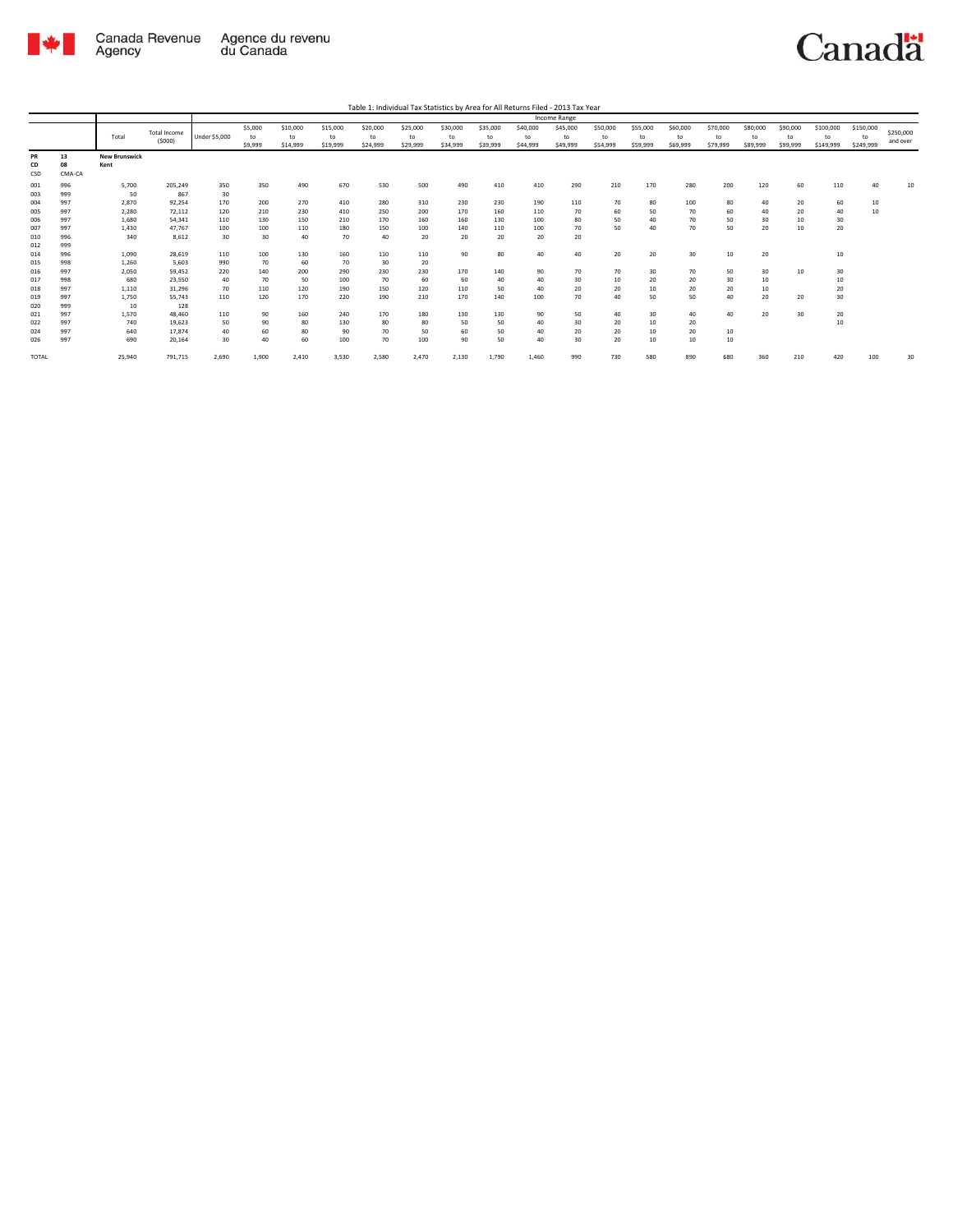

|              |        |                      |                     |                      |         |          |          |          |          |          |          |          | Income Range |          |          |          |          |          |          |           |           |           |
|--------------|--------|----------------------|---------------------|----------------------|---------|----------|----------|----------|----------|----------|----------|----------|--------------|----------|----------|----------|----------|----------|----------|-----------|-----------|-----------|
|              |        |                      | <b>Total Income</b> |                      | \$5,000 | \$10,000 | \$15,000 | \$20,000 | \$25,000 | \$30,000 | \$35,000 | \$40,000 | \$45,000     | \$50,000 | \$55,000 | \$60,000 | \$70,000 | \$80,000 | \$90,000 | \$100,000 | \$150,000 | \$250,000 |
|              |        | Total                | (5000)              | <b>Under \$5,000</b> | to      | to       | to       | to       | to       | to       | to       | to       | to           | to       | to       | to       | to       | to       | to       | to        | to        | and over  |
|              |        |                      |                     |                      | \$9,999 | \$14,999 | \$19,999 | \$24,999 | \$29,999 | \$34,999 | \$39,999 | \$44,999 | \$49,999     | \$54,999 | \$59,999 | \$69,999 | \$79,999 | \$89,999 | \$99,999 | \$149,999 | \$249,999 |           |
| PR           | 13     | <b>New Brunswick</b> |                     |                      |         |          |          |          |          |          |          |          |              |          |          |          |          |          |          |           |           |           |
| CD           | 08     | Kent                 |                     |                      |         |          |          |          |          |          |          |          |              |          |          |          |          |          |          |           |           |           |
| CSD          | CMA-CA |                      |                     |                      |         |          |          |          |          |          |          |          |              |          |          |          |          |          |          |           |           |           |
| 001          | 996    | 5.700                | 205.249             | 350                  | 350     | 490      | 670      | 530      | 500      | 490      | 410      | 410      | 290          | 210      | 170      | 280      | 200      | 120      | 60       | 110       | 40        | 10        |
| 003          | 999    | 50                   | 867                 | 30                   |         |          |          |          |          |          |          |          |              |          |          |          |          |          |          |           |           |           |
| 004          | 997    | 2.870                | 92.254              | 170                  | 200     | 270      | 410      | 280      | 310      | 230      | 230      | 190      | 110          | 70       | 80       | 100      | 80       | 40       | 20       | 60        | 10        |           |
| 005          | 997    | 2.280                | 72.112              | 120                  | 210     | 230      | 410      | 250      | 200      | 170      | 160      | 110      | 70           | 60       | 50       | 70       | 60       | 40       | 20       | 40        | 10        |           |
| 006          | 997    | 1,680                | 54.341              | 110                  | 130     | 150      | 210      | 170      | 160      | 160      | 130      | 100      | 80           | 50       | 40       | 70       | 50       | 30       | 10       | 30        |           |           |
| 007          | 997    | 1,430                | 47.767              | 100                  | 100     | 110      | 180      | 150      | 100      | 140      | 110      | 100      | 70           | 50       | 40       | 70       | 50       | 20       | 10       | 20        |           |           |
| 010          | 996    | 340                  | 8.612               | 30                   | 30      | 40       | 70       | 40       | 20       | 20       | 20       | 20       | 20           |          |          |          |          |          |          |           |           |           |
| 012          | 999    |                      |                     |                      |         |          |          |          |          |          |          |          |              |          |          |          |          |          |          |           |           |           |
| 014          | 996    | 1,090                | 28,619              | 110                  | 100     | 130      | 160      | 110      | 110      | 90       | 80       | 40       | 40           | 20       | 20       | 30       | 10       | 20       |          | 10        |           |           |
| 015          | 998    | 1,260                | 5,603               | 990                  | 70      | 60       | 70       | 30       | 20       |          |          |          |              |          |          |          |          |          |          |           |           |           |
| 016          | 997    | 2.050                | 59.452              | 220                  | 140     | 200      | 290      | 230      | 230      | 170      | 140      | 90       | 70           | 70       | 30       | 70       | 50       | 30       | 10       | 30        |           |           |
| 017          | 998    | 680                  | 23,550              | 40                   | 70      | 50       | 100      | 70       | 60       | 60       | 40       | 40       | 30           | 10       | 20       | 20       | 30       | 10       |          | 10        |           |           |
| 018          | 997    | 1.110                | 31.296              | 70                   | 110     | 120      | 190      | 150      | 120      | 110      | 50       | 40       | 20           | 20       | 10       | 20       | 20       | 10       |          | 20        |           |           |
| 019          | 997    | 1,750                | 55.743              | 110                  | 120     | 170      | 220      | 190      | 210      | 170      | 140      | 100      | 70           | 40       | 50       | 50       | 40       | 20       | 20       | 30        |           |           |
| 020          | 999    | 10                   | 128                 |                      |         |          |          |          |          |          |          |          |              |          |          |          |          |          |          |           |           |           |
| 021          | 997    | 1,570                | 48,460              | 110                  | 90      | 160      | 240      | 170      | 180      | 130      | 130      | 90       | 50           | 40       | 30       | 40       | 40       | 20       | 30       | 20        |           |           |
| 022          | 997    | 740                  | 19.623              | 50                   | 90      | 80       | 130      | 80       | 80       | 50       | 50       | 40       | 30           | 20       | 10       | 20       |          |          |          | 10        |           |           |
| 024          | 997    | 640                  | 17.874              | 40                   | 60      | 80       | 90       | 70       | 50       | 60       | 50       | 40       | 20           | 20       | 10       | 20       | 10       |          |          |           |           |           |
| 026          | 997    | 690                  | 20,164              | 30                   | 40      | 60       | 100      | 70       | 100      | 90       | 50       | 40       | 30           | 20       | 10       | 10       | 10       |          |          |           |           |           |
| <b>TOTAL</b> |        | 25.940               | 791,715             | 2,690                | 1,900   | 2,410    | 3,530    | 2,580    | 2,470    | 2,130    | 1,790    | 1,460    | 990          | 730      | 580      | 890      | 680      | 360      | 210      | 420       | 100       | 30        |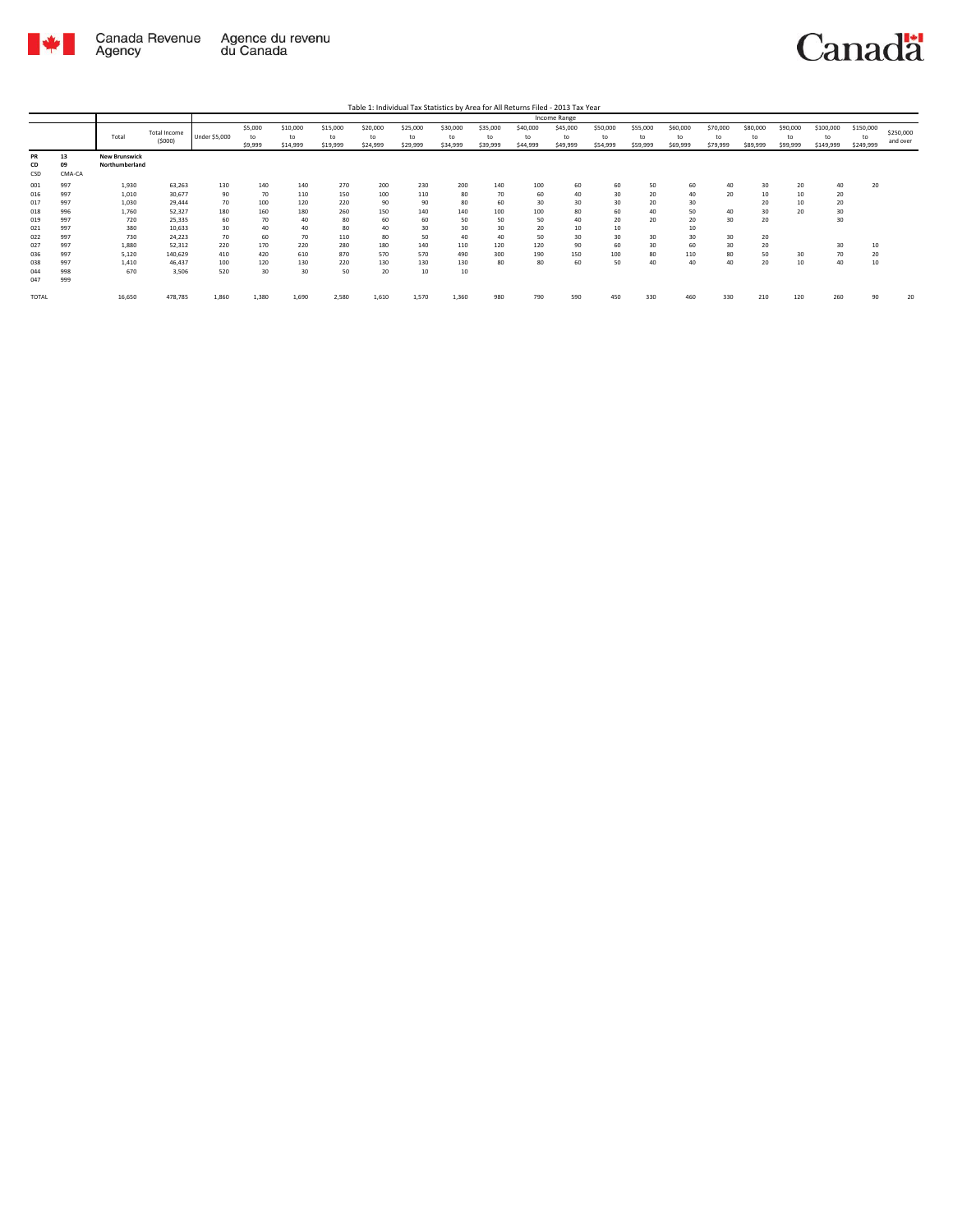

|              |        |                      |                     |               |         |          |          |          |          |          |          |          | <b>Income Range</b> |          |          |          |          |          |          |           |           |           |
|--------------|--------|----------------------|---------------------|---------------|---------|----------|----------|----------|----------|----------|----------|----------|---------------------|----------|----------|----------|----------|----------|----------|-----------|-----------|-----------|
|              |        |                      | <b>Total Income</b> |               | \$5,000 | \$10,000 | \$15,000 | \$20,000 | \$25,000 | \$30,000 | \$35,000 | \$40,000 | \$45,000            | \$50,000 | \$55,000 | \$60,000 | \$70,000 | \$80,000 | \$90,000 | \$100,000 | \$150,000 | \$250,000 |
|              |        | Total                | (5000)              | Under \$5,000 | to      | to       | to       | to       | to       | to       | to       | to       | to                  | to       | to       | to       | to       | to       | to       | to        | to        |           |
|              |        |                      |                     |               | \$9,999 | \$14,999 | \$19,999 | \$24,999 | \$29,999 | \$34,999 | \$39,999 | \$44,999 | \$49,999            | \$54,999 | \$59,999 | \$69,999 | \$79,999 | \$89,999 | \$99,999 | \$149,999 | \$249,999 | and over  |
| PR           | 13     | <b>New Brunswick</b> |                     |               |         |          |          |          |          |          |          |          |                     |          |          |          |          |          |          |           |           |           |
| CD           | 09     | Northumberland       |                     |               |         |          |          |          |          |          |          |          |                     |          |          |          |          |          |          |           |           |           |
| CSD          | CMA-CA |                      |                     |               |         |          |          |          |          |          |          |          |                     |          |          |          |          |          |          |           |           |           |
| 001          | 997    | 1.930                | 63,263              | 130           | 140     | 140      | 270      | 200      | 230      | 200      | 140      | 100      | 60                  | 60       | 50       | 60       | 40       | 30       | 20       | 40        | 20        |           |
| 016          | 997    | 1,010                | 30,677              | 90            | 70      | 110      | 150      | 100      | 110      | 80       | 70       | 60       | 40                  | 30       | 20       | 40       | 20       | 10       | 10       | 20        |           |           |
| 017          | 997    | 1,030                | 29,444              | 70            | 100     | 120      | 220      | 90       | 90       | 80       | 60       | 30       | 30                  | 30       | 20       | 30       |          | 20       | 10       | 20        |           |           |
| 018          | 996    | 1,760                | 52,327              | 180           | 160     | 180      | 260      | 150      | 140      | 140      | 100      | 100      | 80                  | 60       | 40       | 50       | 40       | 30       | 20       | 30        |           |           |
| 019          | 997    | 720                  | 25,335              | 60            | 70      | 40       | 80       | 60       | 60       | 50       | 50       | 50       | 40                  | 20       | 20       | 20       | 30       | 20       |          | 30        |           |           |
| 021          | 997    | 380                  | 10,633              | 30            | 40      | 40       | 80       | 40       | 30       | 30       | 30       | 20       | 10                  | 10       |          | 10       |          |          |          |           |           |           |
| 022          | 997    | 730                  | 24,223              | 70            | 60      | 70       | 110      | 80       | 50       | 40       | 40       | 50       | 30                  | 30       | 30       | 30       | 30       | 20       |          |           |           |           |
| 027          | 997    | 1,880                | 52,312              | 220           | 170     | 220      | 280      | 180      | 140      | 110      | 120      | 120      | 90                  | 60       | 30       | 60       | 30       | 20       |          | 30        | 10        |           |
|              | 997    |                      |                     |               |         |          | 870      | 570      |          |          | 300      | 190      |                     |          |          |          |          |          |          |           | 20        |           |
| 036          |        | 5,120                | 140,629             | 410           | 420     | 610      |          |          | 570      | 490      |          |          | 150                 | 100      | 80       | 110      | 80       | 50       | 30       | 70        |           |           |
| 038          | 997    | 1.410                | 46,437              | 100           | 120     | 130      | 220      | 130      | 130      | 130      | 80       | 80       | 60                  | 50       | 40       | 40       | 40       | 20       | 10       | 40        | 10        |           |
| 044          | 998    | 670                  | 3.506               | 520           | 30      | 30       | 50       | 20       | 10       | 10       |          |          |                     |          |          |          |          |          |          |           |           |           |
| 047          | 999    |                      |                     |               |         |          |          |          |          |          |          |          |                     |          |          |          |          |          |          |           |           |           |
| <b>TOTAL</b> |        | 16,650               | 478,785             | 1,860         | 1,380   | 1,690    | 2,580    | 1,610    | 1,570    | 1,360    | 980      | 790      | 590                 | 450      | 330      | 460      | 330      | 210      | 120      | 260       | 90        | 20        |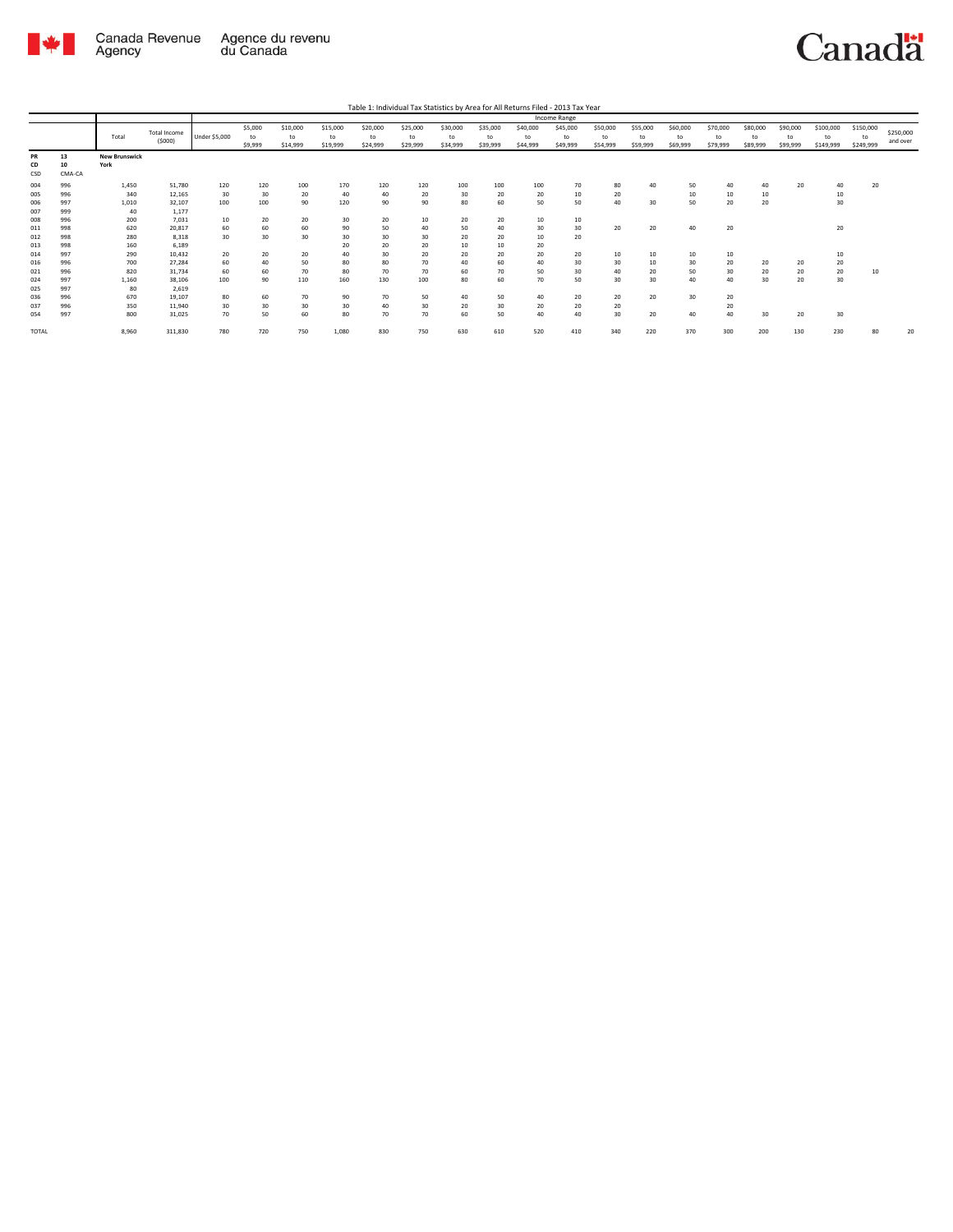

|                          |                          |                              |                                      |                       |                          |                            |                            |                            |                            |                            |                            |                            | Income Range               |                            |                            |                            |                            |                            |                            |                              |                              |                       |
|--------------------------|--------------------------|------------------------------|--------------------------------------|-----------------------|--------------------------|----------------------------|----------------------------|----------------------------|----------------------------|----------------------------|----------------------------|----------------------------|----------------------------|----------------------------|----------------------------|----------------------------|----------------------------|----------------------------|----------------------------|------------------------------|------------------------------|-----------------------|
|                          |                          | Total                        | <b>Total Income</b><br>(5000)        | Under \$5,000         | \$5,000<br>to<br>\$9,999 | \$10,000<br>to<br>\$14,999 | \$15,000<br>to<br>\$19,999 | \$20,000<br>to<br>\$24,999 | \$25,000<br>to<br>\$29,999 | \$30,000<br>to<br>\$34,999 | \$35,000<br>to<br>\$39,999 | \$40,000<br>to<br>\$44,999 | \$45,000<br>to<br>\$49,999 | \$50,000<br>to<br>\$54,999 | \$55,000<br>to<br>\$59,999 | \$60,000<br>to<br>\$69,999 | \$70,000<br>to<br>\$79,999 | \$80,000<br>to<br>\$89,999 | \$90,000<br>to<br>\$99,999 | \$100,000<br>to<br>\$149,999 | \$150,000<br>to<br>\$249,999 | \$250,000<br>and over |
| PR<br>CD<br>CSD          | 13<br>10<br>CMA-CA       | <b>New Brunswick</b><br>York |                                      |                       |                          |                            |                            |                            |                            |                            |                            |                            |                            |                            |                            |                            |                            |                            |                            |                              |                              |                       |
| 004<br>005<br>006<br>007 | 996<br>996<br>997<br>999 | 1,450<br>340<br>1,010<br>40  | 51,780<br>12,165<br>32,107<br>1,177  | 120<br>30<br>100      | 120<br>30<br>100         | 100<br>20<br>90            | 170<br>40<br>120           | 120<br>40<br>90            | 120<br>20<br>90            | 100<br>30<br>80            | 100<br>20<br>60            | 100<br>20<br>50            | 70<br>10<br>50             | 80<br>20<br>40             | 40<br>30                   | 50<br>10<br>50             | 40<br>10<br>20             | 40<br>10<br>20             | 20                         | 40<br>10<br>30               | 20                           |                       |
| 008<br>011<br>012<br>013 | 996<br>998<br>998<br>998 | 200<br>620<br>280<br>160     | 7,031<br>20.817<br>8,318<br>6,189    | 10<br>60<br>30        | 20<br>60<br>30           | 20<br>60<br>30             | 30<br>90<br>30<br>20       | 20<br>50<br>30<br>20       | 10<br>40<br>30<br>20       | 20<br>50<br>20<br>10       | 20<br>40<br>20<br>10       | 10<br>30<br>10<br>20       | 10<br>30<br>20             | 20                         | 20                         | 40                         | 20                         |                            |                            | 20                           |                              |                       |
| 014<br>016<br>021<br>024 | 997<br>996<br>996<br>997 | 290<br>700<br>820<br>1,160   | 10,432<br>27,284<br>31.734<br>38.106 | 20<br>60<br>60<br>100 | 20<br>40<br>60<br>90     | 20<br>50<br>70<br>110      | 40<br>80<br>80<br>160      | 30<br>80<br>70<br>130      | 20<br>70<br>70<br>100      | 20<br>40<br>60<br>80       | 20<br>60<br>70<br>60       | 20<br>40<br>50<br>70       | 20<br>30<br>30<br>50       | 10<br>30<br>40<br>30       | 10<br>10<br>20<br>30       | 10<br>30<br>50<br>40       | 10<br>20<br>30<br>40       | 20<br>20<br>30             | 20<br>20<br>20             | 10<br>20<br>20<br>30         | 10                           |                       |
| 025<br>036<br>037<br>054 | 997<br>996<br>996<br>997 | 80<br>670<br>350<br>800      | 2,619<br>19.107<br>11.940<br>31,025  | 80<br>30<br>70        | 60<br>30<br>50           | 70<br>30<br>60             | 90<br>30<br>80             | 70<br>40<br>70             | 50<br>30<br>70             | 40<br>20<br>60             | 50<br>30<br>50             | 40<br>20<br>40             | 20<br>20<br>40             | 20<br>20<br>30             | 20<br>20                   | 30<br>40                   | 20<br>20<br>40             | 30                         | 20                         | 30                           |                              |                       |
| TOTAL                    |                          | 8,960                        | 311,830                              | 780                   | 720                      | 750                        | 1,080                      | 830                        | 750                        | 630                        | 610                        | 520                        | 410                        | 340                        | 220                        | 370                        | 300                        | 200                        | 130                        | 230                          | 80                           | 20                    |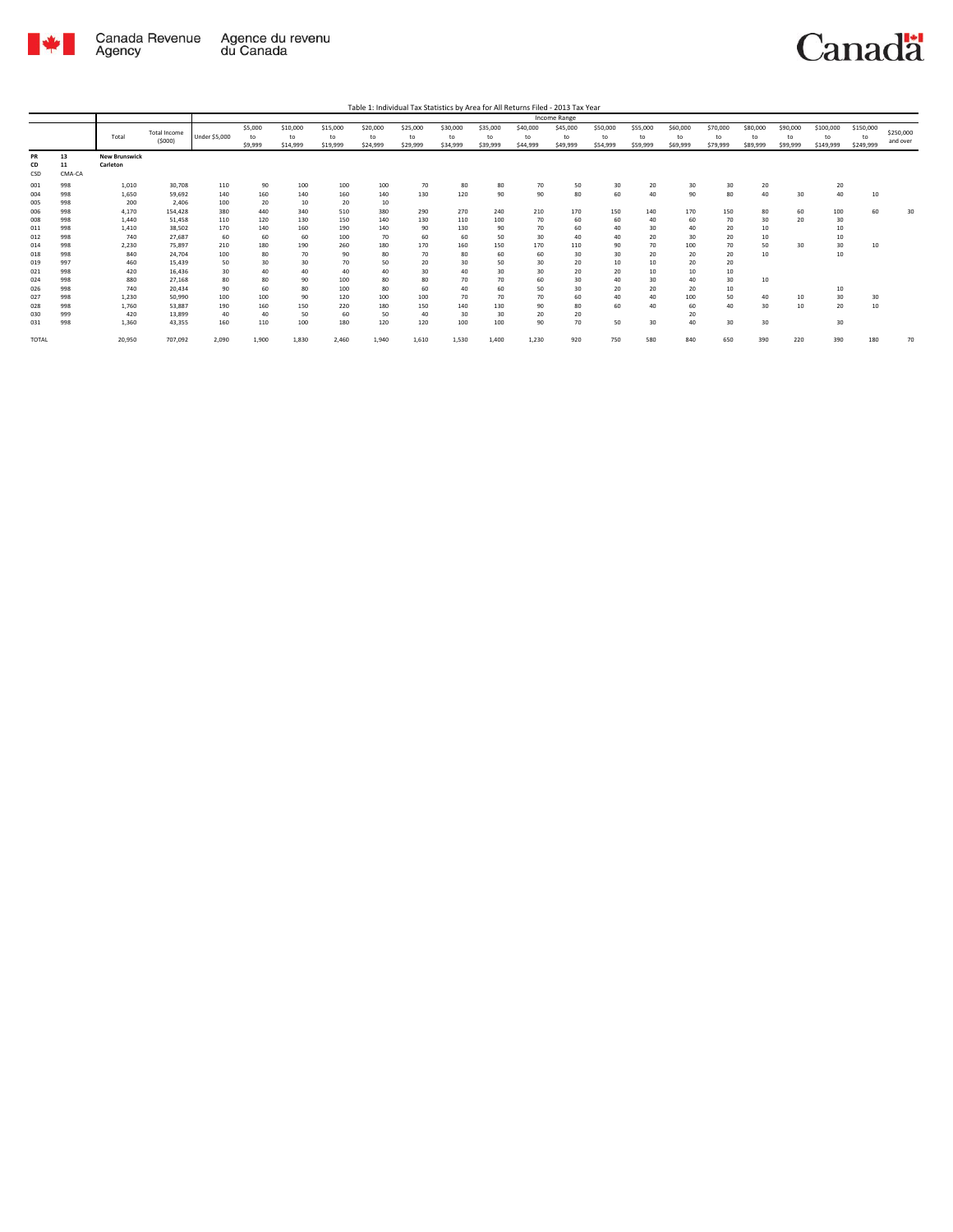

|                   |                    |                                  |                            |                 |                          |                            |                            |                            |                            |                            |                            |                            | Income Range               |                            |                            |                            |                            |                            |                            |                              |                              |                       |
|-------------------|--------------------|----------------------------------|----------------------------|-----------------|--------------------------|----------------------------|----------------------------|----------------------------|----------------------------|----------------------------|----------------------------|----------------------------|----------------------------|----------------------------|----------------------------|----------------------------|----------------------------|----------------------------|----------------------------|------------------------------|------------------------------|-----------------------|
|                   |                    | Total                            | Total Income<br>(5000)     | Under \$5,000   | \$5,000<br>to<br>\$9,999 | \$10,000<br>to<br>\$14,999 | \$15,000<br>to<br>\$19,999 | \$20,000<br>to<br>\$24,999 | \$25,000<br>to<br>\$29,999 | \$30,000<br>to<br>\$34,999 | \$35,000<br>to<br>\$39,999 | \$40,000<br>to<br>\$44,999 | \$45,000<br>to<br>\$49,999 | \$50,000<br>to<br>\$54,999 | \$55,000<br>to<br>\$59,999 | \$60,000<br>to<br>\$69,999 | \$70,000<br>to<br>\$79,999 | \$80,000<br>to<br>\$89,999 | \$90,000<br>to<br>\$99,999 | \$100,000<br>to<br>\$149,999 | \$150,000<br>to<br>\$249,999 | \$250,000<br>and over |
| PR<br>CD<br>CSD   | 13<br>11<br>CMA-CA | <b>New Brunswick</b><br>Carleton |                            |                 |                          |                            |                            |                            |                            |                            |                            |                            |                            |                            |                            |                            |                            |                            |                            |                              |                              |                       |
| 001<br>004        | 998<br>998         | 1,010<br>1,650                   | 30,708<br>59,692           | 110<br>140      | 90<br>160                | 100<br>140                 | 100<br>160                 | 100<br>140                 | 70<br>130                  | 80<br>120                  | 80<br>90                   | 70<br>90                   | 50<br>80                   | 30<br>60                   | 20<br>40                   | 30<br>90                   | 30<br>80                   | 20<br>40                   | 30                         | 20<br>40                     | 10                           |                       |
| 005<br>006        | 998<br>998         | 200<br>4,170                     | 2.406<br>154.428           | 100<br>380      | 20<br>440                | 10<br>340                  | 20<br>510                  | 10<br>380                  | 290                        | 270                        | 240                        | 210                        | 170                        | 150                        | 140                        | 170                        | 150                        | 80                         | 60                         | 100                          | 60                           | 30                    |
| 008<br>011        | 998<br>998         | 1,440<br>1,410                   | 51.458<br>38,502           | 110<br>170      | 120<br>140               | 130<br>160                 | 150<br>190                 | 140<br>140                 | 130<br>90                  | 110<br>130                 | 100<br>90                  | 70<br>70                   | 60<br>60                   | 60<br>40                   | 40<br>30                   | 60<br>40                   | 70<br>20                   | 30<br>10                   | 20                         | 30<br>10                     |                              |                       |
| 012<br>014        | 998<br>998<br>998  | 740<br>2,230                     | 27.687<br>75.897           | 60<br>210       | 60<br>180                | 60<br>190                  | 100<br>260                 | 70<br>180                  | 60<br>170                  | 60<br>160                  | 50<br>150                  | 30<br>170                  | 40<br>110                  | 40<br>90<br>30             | 20<br>70                   | 30<br>100                  | 20<br>70                   | 10<br>50                   | 30                         | 10<br>30                     | 10                           |                       |
| 018<br>019<br>021 | 997<br>998         | 840<br>460<br>420                | 24,704<br>15.439<br>16,436 | 100<br>50<br>30 | 80<br>30<br>40           | 70<br>30<br>40             | 90<br>70<br>40             | 80<br>50<br>40             | 70<br>20<br>30             | 80<br>30<br>40             | 60<br>50<br>30             | 60<br>30<br>30             | 30<br>20<br>20             | 10<br>20                   | 20<br>10<br>10             | 20<br>20<br>10             | 20<br>20<br>10             | 10                         |                            | 10                           |                              |                       |
| 024<br>026        | 998<br>998         | 880<br>740                       | 27.168<br>20.434           | 80<br>90        | 80<br>60                 | 90<br>80                   | 100<br>100                 | 80<br>80                   | 80<br>60                   | 70<br>40                   | 70<br>60                   | 60<br>50                   | 30<br>30                   | 40<br>20                   | 30<br>20                   | 40<br>20                   | 30<br>10                   | 10                         |                            | 10                           |                              |                       |
| 027<br>028        | 998<br>998         | 1,230<br>1,760                   | 50,990<br>53,887           | 100<br>190      | 100<br>160               | 90<br>150                  | 120<br>220                 | 100<br>180                 | 100<br>150                 | 70<br>140                  | 70<br>130                  | 70<br>90                   | 60<br>80                   | 40<br>60                   | 40<br>40                   | 100<br>60                  | 50<br>40                   | 40<br>30                   | 10<br>10                   | 30<br>20                     | 30<br>10                     |                       |
| 030<br>031        | 999<br>998         | 420<br>1,360                     | 13.899<br>43,355           | 40<br>160       | 40<br>110                | 50<br>100                  | 60<br>180                  | 50<br>120                  | 40<br>120                  | 30<br>100                  | 30<br>100                  | 20<br>90                   | 20<br>70                   | 50                         | 30                         | 20<br>40                   | 30                         | 30                         |                            | 30                           |                              |                       |
| TOTAL             |                    | 20,950                           | 707,092                    | 2,090           | 1,900                    | 1,830                      | 2,460                      | 1,940                      | 1,610                      | 1,530                      | 1,400                      | 1,230                      | 920                        | 750                        | 580                        | 840                        | 650                        | 390                        | 220                        | 390                          | 180                          | 70                    |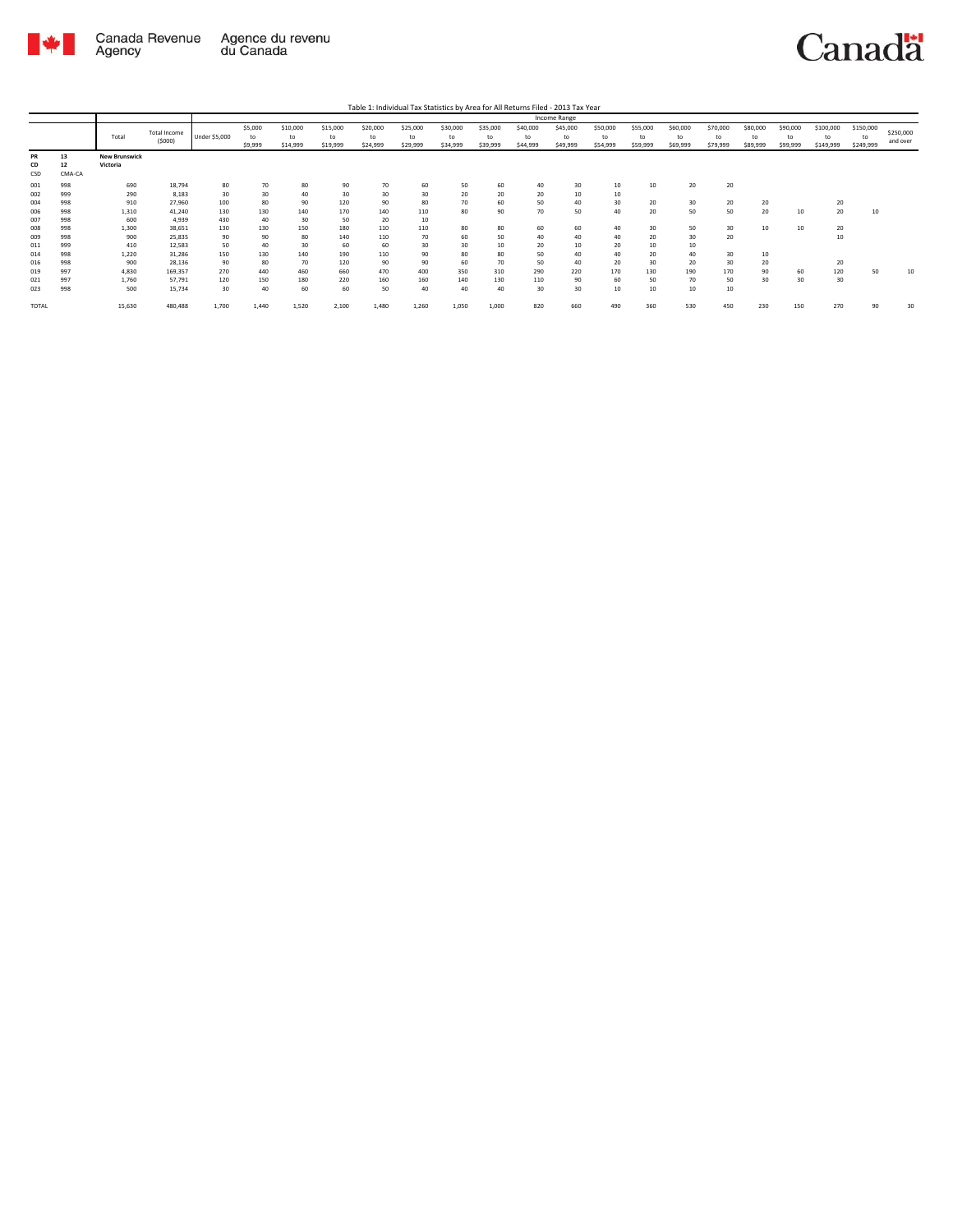

Table 1: Individual Tax Statistics by Area for All Returns Filed - 2013 Tax Year

|       |        |                      |              | <b>Income Range</b> |         |          |          |          |          |          |          |          |          |          |          |          |          |          |          |           |           |           |
|-------|--------|----------------------|--------------|---------------------|---------|----------|----------|----------|----------|----------|----------|----------|----------|----------|----------|----------|----------|----------|----------|-----------|-----------|-----------|
|       |        |                      | Total Income |                     | \$5,000 | \$10,000 | \$15,000 | \$20,000 | \$25,000 | \$30,000 | \$35,000 | \$40,000 | \$45,000 | \$50,000 | \$55,000 | \$60,000 | \$70,000 | \$80,000 | \$90,000 | \$100,000 | \$150,000 | \$250,000 |
|       |        | Total                | (5000)       | Under \$5,000       | to      | to       | to       | to       | to       | to       | to       | to       | to       | to       | to       | to       | to       | to       | to       | to        | to        | and over  |
|       |        |                      |              |                     | \$9,999 | \$14,999 | \$19,999 | \$24,999 | \$29,999 | \$34,999 | \$39,999 | \$44,999 | \$49,999 | \$54,999 | \$59,999 | \$69,999 | \$79,999 | \$89,999 | \$99,999 | \$149,999 | \$249,999 |           |
| PR    | 13     | <b>New Brunswick</b> |              |                     |         |          |          |          |          |          |          |          |          |          |          |          |          |          |          |           |           |           |
| CD    | 12     | Victoria             |              |                     |         |          |          |          |          |          |          |          |          |          |          |          |          |          |          |           |           |           |
| CSD   | CMA-CA |                      |              |                     |         |          |          |          |          |          |          |          |          |          |          |          |          |          |          |           |           |           |
| 001   | 998    | 690                  | 18,794       | 80                  | 70      | 80       | 90       | 70       | 60       | 50       | 60       | 40       | 30       | 10       | 10       | 20       | 20       |          |          |           |           |           |
| 002   | 999    | 290                  | 8,183        | 30                  | 30      | 40       | 30       | 30       | 30       | 20       | 20       | 20       | 10       | 10       |          |          |          |          |          |           |           |           |
| 004   | 998    | 910                  | 27,960       | 100                 | 80      | 90       | 120      | 90       | 80       | 70       | 60       | 50       | 40       | 30       | 20       | 30       | 20       | 20       |          | 20        |           |           |
| 006   | 998    | 1,310                | 41.240       | 130                 | 130     | 140      | 170      | 140      | 110      | 80       | 90       | 70       | 50       | 40       | 20       | 50       | 50       | 20       | 10       | 20        | 10        |           |
| 007   | 998    | 600                  | 4,939        | 430                 | 40      | 30       | 50       | 20       | 10       |          |          |          |          |          |          |          |          |          |          |           |           |           |
| 008   | 998    | 1,300                | 38,651       | 130                 | 130     | 150      | 180      | 110      | 110      | 80       | 80       | 60       | 60       | 40       | 30       | 50       | 30       | 10       | 10       | 20        |           |           |
| 009   | 998    | 900                  | 25,835       | 90                  | 90      | 80       | 140      | 110      | 70       | 60       | 50       | 40       | 40       | 40       | 20       | 30       | 20       |          |          | 10        |           |           |
| 011   | 999    | 410                  | 12.583       | 50                  | 40      | 30       | 60       | 60       | 30       | 30       | 10       | 20       | 10       | 20       | 10       | 10       |          |          |          |           |           |           |
| 014   | 998    | 1,220                | 31.286       | 150                 | 130     | 140      | 190      | 110      | 90       | 80       | 80       | 50       | 40       | 40       | 20       | 40       | 30       | 10       |          |           |           |           |
| 016   | 998    | 900                  | 28,136       | 90                  | 80      | 70       | 120      | 90       | 90       | 60       | 70       | 50       | 40       | 20       | 30       | 20       | 30       | 20       |          | 20        |           |           |
| 019   | 997    | 4,830                | 169,357      | 270                 | 440     | 460      | 660      | 470      | 400      | 350      | 310      | 290      | 220      | 170      | 130      | 190      | 170      | 90       | 60       | 120       | 50        | 10        |
| 021   | 997    | 1.760                | 57.791       | 120                 | 150     | 180      | 220      | 160      | 160      | 140      | 130      | 110      | 90       | 60       | 50       | 70       | 50       | 30       | 30       | 30        |           |           |
| 023   | 998    | 500                  | 15,734       | 30                  | 40      | 60       | 60       | 50       | 40       | 40       | 40       | 30       | 30       | 10       | 10       | 10       | 10       |          |          |           |           |           |
| TOTAL |        | 15,630               | 480,488      | 1,700               | 1.440   | 1,520    | 2,100    | 1,480    | 1.260    | 1,050    | 1,000    | 820      | 660      | 490      | 360      | 530      | 450      | 230      | 150      | 270       | 90        | 30        |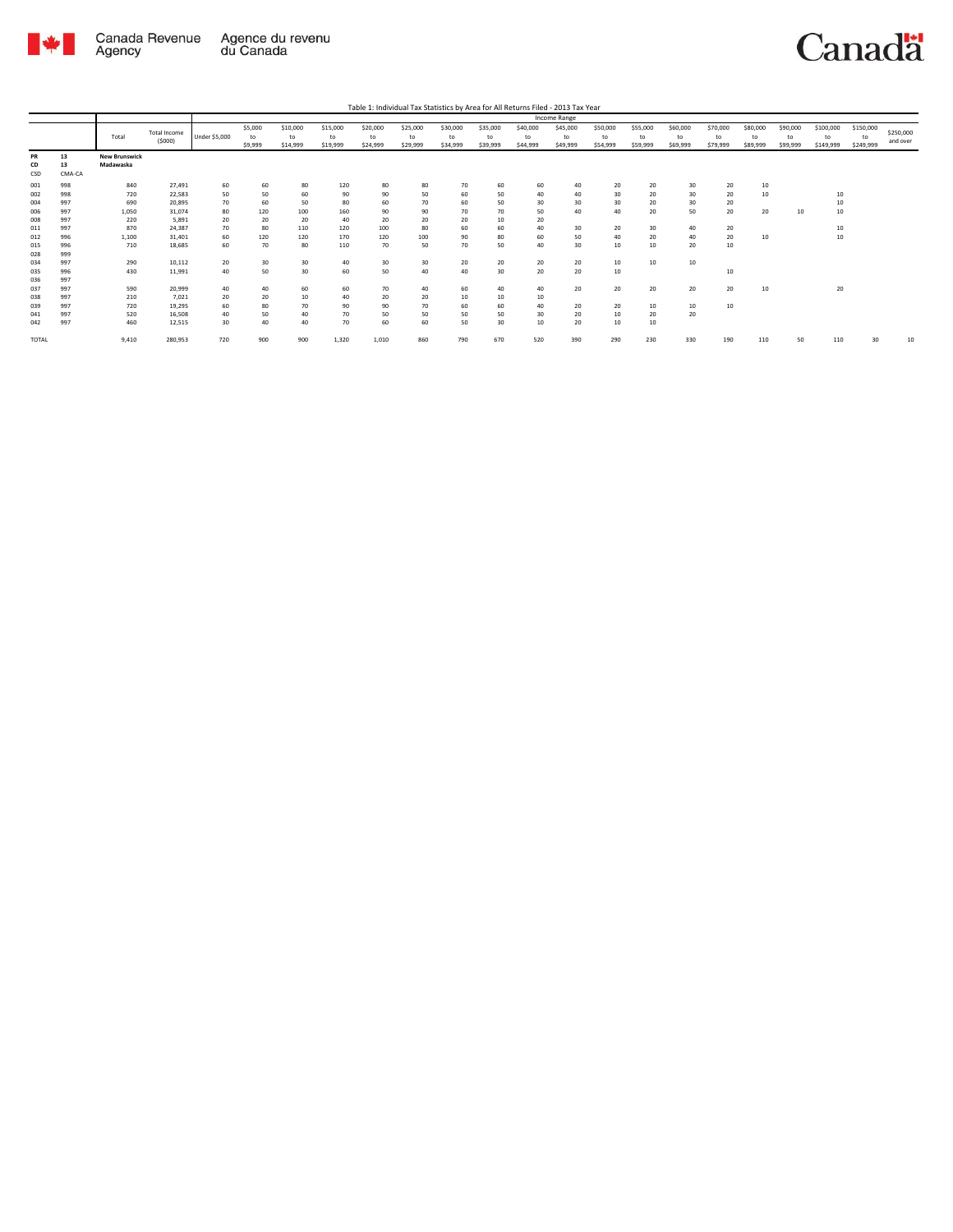

|       |        |                      |              | Income Range         |         |          |          |          |          |          |          |          |          |          |          |          |          |          |          |           |           |           |
|-------|--------|----------------------|--------------|----------------------|---------|----------|----------|----------|----------|----------|----------|----------|----------|----------|----------|----------|----------|----------|----------|-----------|-----------|-----------|
|       |        |                      | Total Income |                      | \$5,000 | \$10,000 | \$15,000 | \$20,000 | \$25,000 | \$30,000 | \$35,000 | \$40,000 | \$45,000 | \$50,000 | \$55,000 | \$60,000 | \$70,000 | \$80,000 | \$90,000 | \$100,000 | \$150,000 | \$250,000 |
|       |        | Total                | (5000)       | <b>Under \$5,000</b> | to      | to       | to       | to       | to       | to       | to       | to       | to       | to       | to       | to       | to       | to       | to       | to        | to        | and over  |
|       |        |                      |              |                      | \$9,999 | \$14,999 | \$19,999 | \$24,999 | \$29,999 | \$34,999 | \$39,999 | \$44,999 | \$49,999 | \$54,999 | \$59,999 | \$69,999 | \$79,999 | \$89,999 | \$99,999 | \$149,999 | \$249,999 |           |
| PR    | 13     | <b>New Brunswick</b> |              |                      |         |          |          |          |          |          |          |          |          |          |          |          |          |          |          |           |           |           |
| CD    | 13     | Madawaska            |              |                      |         |          |          |          |          |          |          |          |          |          |          |          |          |          |          |           |           |           |
| CSD   | CMA-CA |                      |              |                      |         |          |          |          |          |          |          |          |          |          |          |          |          |          |          |           |           |           |
| 001   | 998    | 840                  | 27,491       | 60                   | 60      | 80       | 120      | 80       | 80       | 70       | 60       | 60       | 40       | 20       | 20       | 30       | 20       | 10       |          |           |           |           |
| 002   | 998    | 720                  | 22.583       | 50                   | 50      | 60       | 90       | 90       | 50       | 60       | 50       | 40       | 40       | 30       | 20       | 30       | 20       | 10       |          | 10        |           |           |
| 004   | 997    | 690                  | 20,895       | 70                   | 60      | 50       | 80       | 60       | 70       | 60       | 50       | 30       | 30       | 30       | 20       | 30       | 20       |          |          | 10        |           |           |
| 006   | 997    | 1,050                | 31.074       | 80                   | 120     | 100      | 160      | 90       | 90       | 70       | 70       | 50       | 40       | 40       | 20       | 50       | 20       | 20       | 10       | 10        |           |           |
| 008   | 997    | 220                  | 5.891        | 20                   | 20      | 20       | 40       | 20       | 20       | 20       | 10       | 20       |          |          |          |          |          |          |          |           |           |           |
| 011   | 997    | 870                  | 24.387       | 70                   | 80      | 110      | 120      | 100      | 80       | 60       | 60       | 40       | 30       | 20       | 30       | 40       | 20       |          |          | 10        |           |           |
| 012   | 996    | 1,100                | 31.401       | 60                   | 120     | 120      | 170      | 120      | 100      | 90       | 80       | 60       | 50       | 40       | 20       | 40       | 20       | 10       |          | 10        |           |           |
| 015   | 996    | 710                  | 18.685       | 60                   | 70      | 80       | 110      | 70       | 50       | 70       | 50       | 40       | 30       | 10       | 10       | 20       | 10       |          |          |           |           |           |
| 028   | 999    |                      |              |                      |         |          |          |          |          |          |          |          |          |          |          |          |          |          |          |           |           |           |
| 034   | 997    | 290                  | 10,112       | 20                   | 30      | 30       | 40       | 30       | 30       | 20       | 20       | 20       | 20       | 10       | 10       | 10       |          |          |          |           |           |           |
| 035   | 996    | 430                  | 11,991       | 40                   | 50      | 30       | 60       | 50       | 40       | 40       | 30       | 20       | 20       | 10       |          |          | 10       |          |          |           |           |           |
| 036   | 997    |                      |              |                      |         |          |          |          |          |          |          |          |          |          |          |          |          |          |          |           |           |           |
| 037   | 997    | 590                  | 20,999       | 40                   | 40      | 60       | 60       | 70       | 40       | 60       | 40       | 40       | 20       | 20       | 20       | 20       | 20       | 10       |          | 20        |           |           |
| 038   | 997    | 210                  | 7,021        | 20                   | 20      | 10       | 40       | 20       | 20       | 10       | 10       | 10       |          |          |          |          |          |          |          |           |           |           |
| 039   | 997    | 720                  | 19.295       | 60                   | 80      | 70       | 90       | 90       | 70       | 60       | 60       | 40       | 20       | 20       | $10$     | 10       | 10       |          |          |           |           |           |
| 041   | 997    | 520                  | 16.508       | 40                   | 50      | 40       | 70       | 50       | 50       | 50       | 50       | 30       | 20       | 10       | 20       | 20       |          |          |          |           |           |           |
| 042   | 997    | 460                  | 12,515       | 30                   | 40      | 40       | 70       | 60       | 60       | 50       | 30       | 10       | 20       | 10       | $10$     |          |          |          |          |           |           |           |
| TOTAL |        | 9,410                | 280,953      | 720                  | 900     | 900      | 1,320    | 1,010    | 860      | 790      | 670      | 520      | 390      | 290      | 230      | 330      | 190      | 110      | 50       | 110       | 30        | 10        |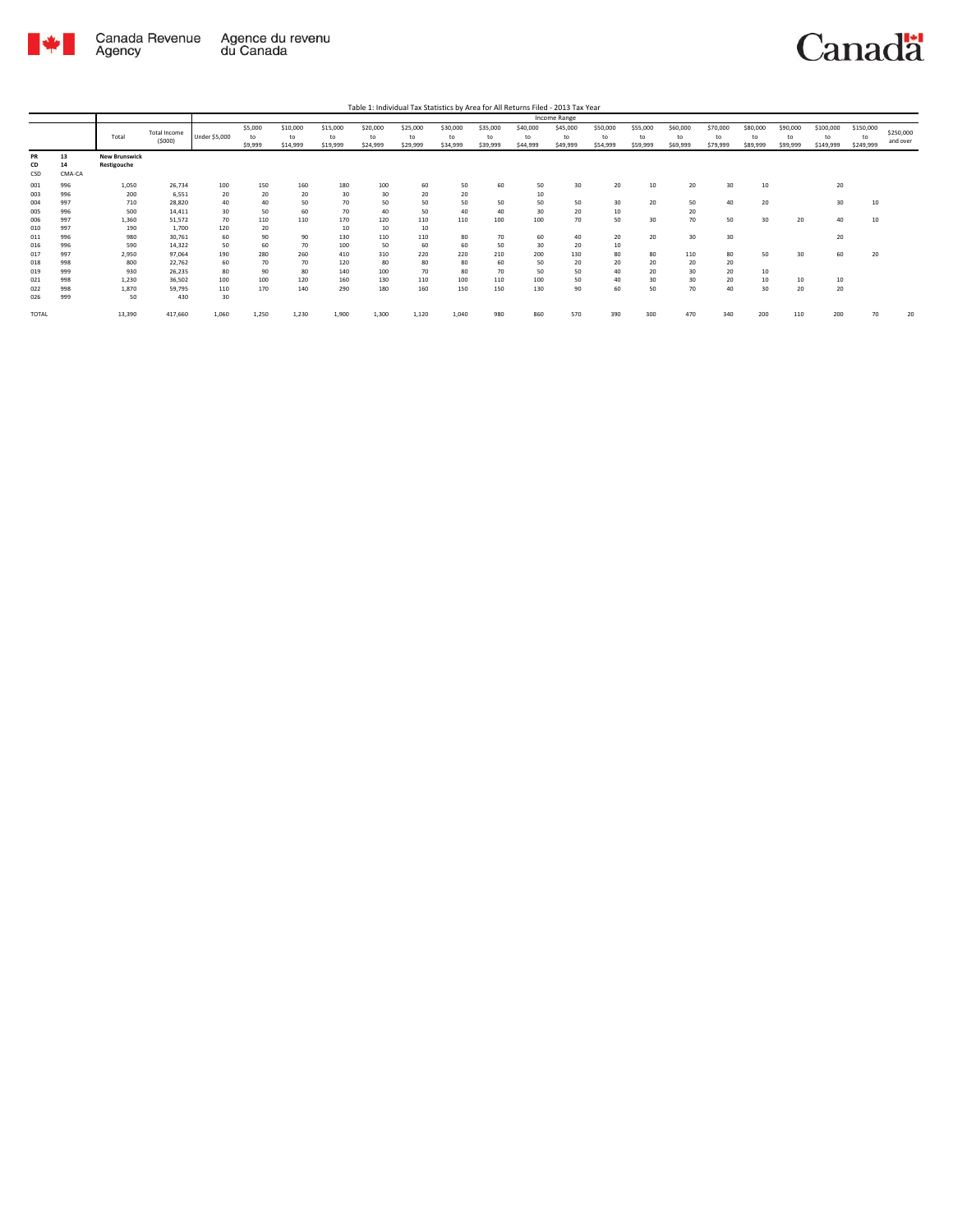

|                   |                    |                                     |                         | Income Range     |                          |                            |                            |                            |                            |                            |                            |                            |                            |                            |                            |                            |                            |                            |                            |                              |                              |                       |
|-------------------|--------------------|-------------------------------------|-------------------------|------------------|--------------------------|----------------------------|----------------------------|----------------------------|----------------------------|----------------------------|----------------------------|----------------------------|----------------------------|----------------------------|----------------------------|----------------------------|----------------------------|----------------------------|----------------------------|------------------------------|------------------------------|-----------------------|
|                   |                    | Total                               | Total Income<br>(5000)  | Under \$5,000    | \$5,000<br>to<br>\$9,999 | \$10,000<br>to<br>\$14,999 | \$15,000<br>to<br>\$19,999 | \$20,000<br>to<br>\$24,999 | \$25,000<br>to<br>\$29,999 | \$30,000<br>to<br>\$34,999 | \$35,000<br>to<br>\$39,999 | \$40,000<br>to<br>\$44,999 | \$45,000<br>to<br>\$49,999 | \$50,000<br>to<br>\$54,999 | \$55,000<br>to<br>\$59,999 | \$60,000<br>to<br>\$69,999 | \$70,000<br>to<br>\$79,999 | \$80,000<br>to<br>\$89,999 | \$90,000<br>to<br>\$99,999 | \$100,000<br>to<br>\$149,999 | \$150,000<br>to<br>\$249,999 | \$250,000<br>and over |
| PR<br>CD<br>CSD   | 13<br>14<br>CMA-CA | <b>New Brunswick</b><br>Restigouche |                         |                  |                          |                            |                            |                            |                            |                            |                            |                            |                            |                            |                            |                            |                            |                            |                            |                              |                              |                       |
| 001<br>003        | 996<br>996         | 1,050<br>200                        | 26,734<br>6,551         | 100<br>20        | 150<br>20                | 160<br>20                  | 180<br>30                  | 100<br>30                  | 60<br>20                   | 50<br>20                   | 60                         | 50<br>10                   | 30                         | 20                         | 10                         | 20                         | 30                         | 10                         |                            | 20                           |                              |                       |
| 004<br>005        | 997<br>996         | 710<br>500                          | 28,820<br>14,411        | 40<br>30         | 40<br>50                 | 50<br>60                   | 70<br>70                   | 50<br>40                   | 50<br>50                   | 50<br>40                   | 50<br>40                   | 50<br>30                   | 50<br>20                   | 30<br>10                   | 20                         | 50<br>20                   | 40                         | 20                         |                            | 30                           | 10                           |                       |
| 006               | 997<br>997         | 1,360                               | 51,572                  | 70               | 110                      | 110                        | 170                        | 120                        | 110                        | 110                        | 100                        | 100                        | 70                         | 50                         | 30                         | 70                         | 50                         | 30                         | 20                         | 40                           | 10                           |                       |
| 010<br>011        | 996                | 190<br>980                          | 1,700<br>30,761         | 120<br>60        | 20<br>90                 | 90                         | 10<br>130                  | 10<br>110                  | 10<br>110                  | 80                         | 70                         | 60                         | 40                         | 20                         | 20                         | 30                         | 30                         |                            |                            | 20                           |                              |                       |
| 016<br>017        | 996<br>997         | 590<br>2,950                        | 14,322<br>97,064        | 50<br>190        | 60<br>280                | 70<br>260                  | 100<br>410                 | 50<br>310                  | 60<br>220                  | 60<br>220                  | 50<br>210                  | 30<br>200                  | 20<br>130                  | 10<br>80                   | 80                         | 110                        | 80                         | 50                         | 30                         | 60                           | 20                           |                       |
| 018<br>019        | 998<br>999         | 800<br>930                          | 22,762<br>26,235        | 60<br>80         | 70<br>90                 | 70<br>80                   | 120<br>140                 | 80<br>100                  | 80<br>70                   | 80<br>80                   | 60<br>70                   | 50<br>50                   | 20<br>50                   | 20<br>40                   | 20<br>20                   | 20<br>30                   | 20<br>20                   | 10                         |                            |                              |                              |                       |
| 021<br>022<br>026 | 998<br>998<br>999  | 1,230<br>1,870<br>50                | 36,502<br>59,795<br>430 | 100<br>110<br>30 | 100<br>170               | 120<br>140                 | 160<br>290                 | 130<br>180                 | 110<br>160                 | 100<br>150                 | 110<br>150                 | 100<br>130                 | 50<br>90                   | 40<br>60                   | 30<br>50                   | 30<br>70                   | 20<br>40                   | 10<br>30                   | 10<br>20                   | 10<br>20                     |                              |                       |
| TOTAL             |                    | 13,390                              | 417,660                 | 1,060            | 1.250                    | 1,230                      | 1,900                      | 1.300                      | 1,120                      | 1.040                      | 980                        | 860                        | 570                        | 390                        | 300                        | 470                        | 340                        | 200                        | 110                        | 200                          | 70                           | 20                    |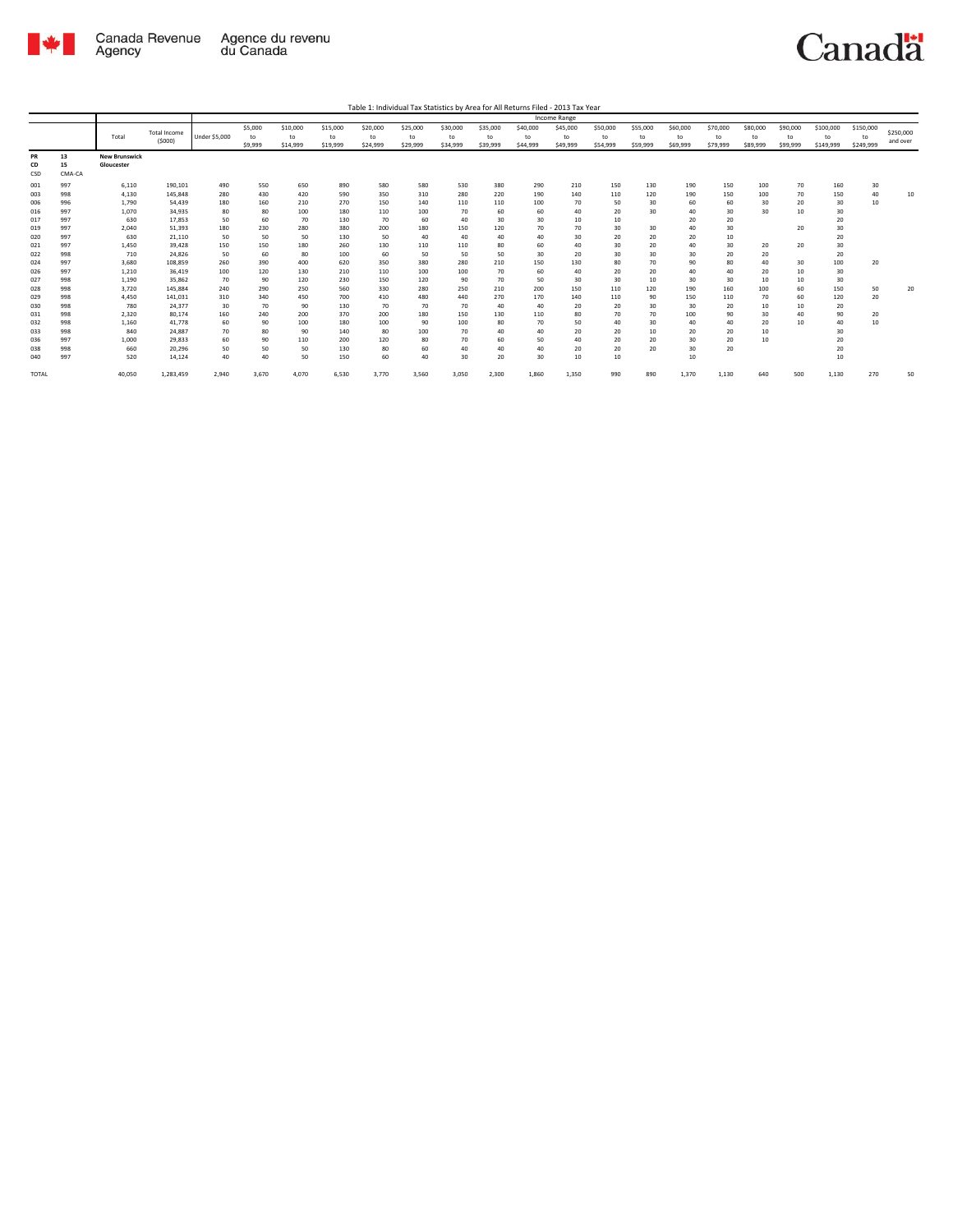

|                 |                    |                                    |                     |               |               |                |                |                |                |                |                |                | <b>Income Range</b> |                |                |                |                |                |                |                 |                 |           |
|-----------------|--------------------|------------------------------------|---------------------|---------------|---------------|----------------|----------------|----------------|----------------|----------------|----------------|----------------|---------------------|----------------|----------------|----------------|----------------|----------------|----------------|-----------------|-----------------|-----------|
|                 |                    | Total                              | <b>Total Income</b> | Under \$5,000 | \$5,000<br>to | \$10,000<br>to | \$15,000<br>to | \$20,000<br>to | \$25,000<br>to | \$30,000<br>to | \$35,000<br>to | \$40,000<br>to | \$45,000<br>to      | \$50,000<br>to | \$55,000<br>to | \$60,000<br>to | \$70,000<br>to | \$80,000<br>to | \$90,000<br>to | \$100,000<br>to | \$150,000<br>to | \$250,000 |
|                 |                    |                                    | (5000)              |               | \$9,999       | \$14,999       | \$19,999       | \$24,999       | \$29,999       | \$34,999       | \$39,999       | \$44,999       | \$49,999            | \$54,999       | \$59,999       | \$69,999       | \$79,999       | \$89,999       | \$99,999       | \$149,999       | \$249,999       | and over  |
| PR<br>CD<br>CSD | 13<br>15<br>CMA-CA | <b>New Brunswick</b><br>Gloucester |                     |               |               |                |                |                |                |                |                |                |                     |                |                |                |                |                |                |                 |                 |           |
| 001             | 997                | 6,110                              | 190,101             | 490           | 550           | 650            | 890            | 580            | 580            | 530            | 380            | 290            | 210                 | 150            | 130            | 190            | 150            | 100            | 70             | 160             | 30              |           |
| 003             | 998                | 4,130                              | 145,848             | 280           | 430           | 420            | 590            | 350            | 310            | 280            | 220            | 190            | 140                 | 110            | 120            | 190            | 150            | 100            | 70             | 150             | 40              | 10        |
| 006             | 996                | 1.790                              | 54.439              | 180           | 160           | 210            | 270            | 150            | 140            | 110            | 110            | 100            | 70                  | 50             | 30             | 60             | 60             | 30             | 20             | 30              | 10              |           |
| 016             | 997                | 1.070                              | 34.935              | 80            | 80            | 100            | 180            | 110            | 100            | 70             | 60             | 60             | 40                  | 20             | 30             | 40             | 30             | 30             | 10             | 30              |                 |           |
| 017             | 997                | 630                                | 17,853              | 50            | 60            | 70             | 130            | 70             | 60             | 40             | 30             | 30             | 10                  | 10             |                | 20             | 20             |                |                | 20              |                 |           |
| 019             | 997                | 2,040                              | 51,393              | 180           | 230           | 280            | 380            | 200            | 180            | 150            | 120            | 70             | 70                  | 30             | 30             | 40             | 30             |                | 20             | 30              |                 |           |
| 020             | 997                | 630                                | 21,110              | 50            | 50            | 50             | 130            | 50             | 40             | 40             | 40             | 40             | 30<br>40            | 20             | 20<br>20       | 20             | 10             |                |                | 20              |                 |           |
| 021             | 997                | 1,450                              | 39.428<br>24.826    | 150           | 150           | 180            | 260            | 130            | 110<br>50      | 110            | 80             | 60             |                     | 30             |                | 40             | 30             | 20             | 20             | 30              |                 |           |
| 022<br>024      | 998<br>997         | 710<br>3.680                       | 108.859             | 50<br>260     | 60<br>390     | 80<br>400      | 100<br>620     | 60<br>350      | 380            | 50<br>280      | 50<br>210      | 30<br>150      | 20<br>130           | 30<br>80       | 30<br>70       | 30<br>90       | 20<br>80       | 20<br>40       | 30             | 20<br>100       | 20              |           |
| 026             | 997                | 1,210                              | 36,419              | 100           | 120           | 130            | 210            | 110            | 100            | 100            | 70             | 60             | 40                  | 20             | 20             | 40             | 40             | 20             | 10             | 30              |                 |           |
| 027             | 998                | 1,190                              | 35,862              | 70            | 90            | 120            | 230            | 150            | 120            | 90             | 70             | 50             | 30                  | 30             | 10             | 30             | 30             | 10             | 10             | 30              |                 |           |
| 028             | 998                | 3,720                              | 145.884             | 240           | 290           | 250            | 560            | 330            | 280            | 250            | 210            | 200            | 150                 | 110            | 120            | 190            | 160            | 100            | 60             | 150             | 50              | 20        |
| 029             | 998                | 4,450                              | 141,031             | 310           | 340           | 450            | 700            | 410            | 480            | 440            | 270            | 170            | 140                 | 110            | 90             | 150            | 110            | 70             | 60             | 120             | 20              |           |
| 030             | 998                | 780                                | 24.377              | 30            | 70            | 90             | 130            | 70             | 70             | 70             | 40             | 40             | 20                  | 20             | 30             | 30             | 20             | 10             | 10             | 20              |                 |           |
| 031             | 998                | 2,320                              | 80,174              | 160           | 240           | 200            | 370            | 200            | 180            | 150            | 130            | 110            | 80                  | 70             | 70             | 100            | 90             | 30             | 40             | 90              | 20              |           |
| 032             | 998                | 1,160                              | 41.778              | 60            | 90            | 100            | 180            | 100            | 90             | 100            | 80             | 70             | 50                  | 40             | 30             | 40             | 40             | 20             | 10             | 40              | 10              |           |
| 033             | 998                | 840                                | 24,887              | 70            | 80            | 90             | 140            | 80             | 100            | 70             | 40             | 40             | 20                  | 20             | 10             | 20             | 20             | 10             |                | 30              |                 |           |
| 036             | 997                | 1.000                              | 29.833              | 60            | 90            | 110            | 200            | 120            | 80             | 70             | 60             | 50             | 40                  | 20             | 20             | 30             | 20             | 10             |                | 20              |                 |           |
| 038             | 998                | 660                                | 20,296              | 50            | 50            | 50             | 130            | 80             | 60             | 40             | 40             | 40             | 20                  | 20             | 20             | 30             | 20             |                |                | 20              |                 |           |
| 040             | 997                | 520                                | 14,124              | 40            | 40            | 50             | 150            | 60             | 40             | 30             | 20             | 30             | 10                  | 10             |                | 10             |                |                |                | 10              |                 |           |
| <b>TOTAL</b>    |                    | 40.050                             | 1,283,459           | 2,940         | 3,670         | 4,070          | 6,530          | 3,770          | 3,560          | 3,050          | 2,300          | 1,860          | 1,350               | 990            | 890            | 1,370          | 1,130          | 640            | 500            | 1,130           | 270             | 50        |